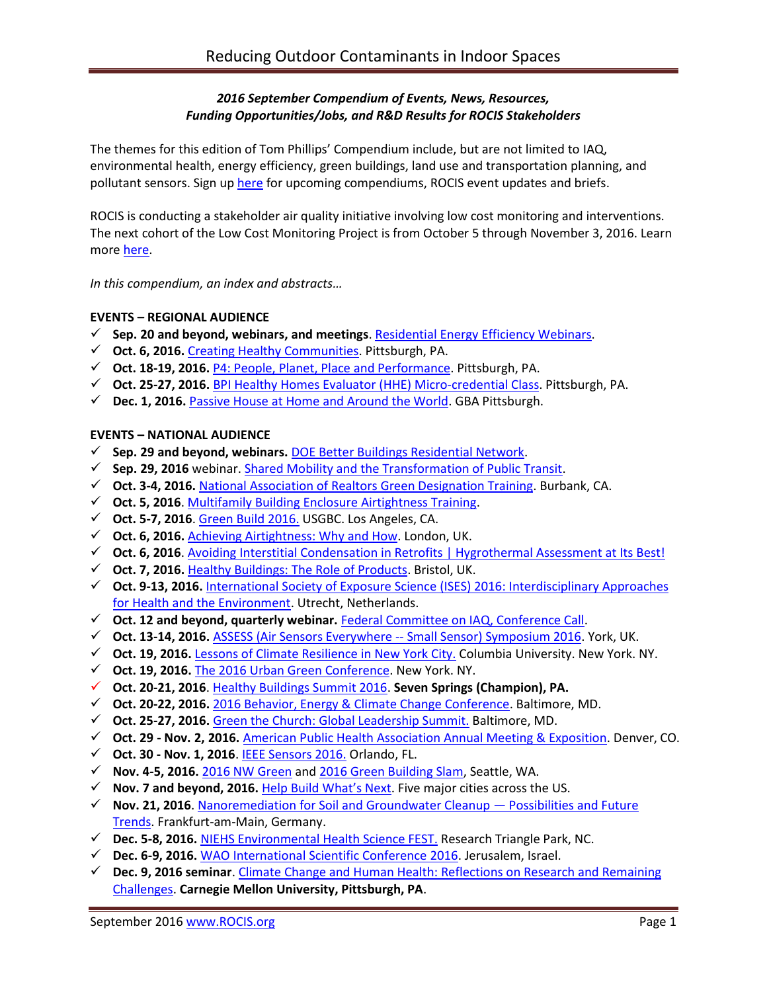## *2016 September Compendium of Events, News, Resources, Funding Opportunities/Jobs, and R&D Results for ROCIS Stakeholders*

The themes for this edition of Tom Phillips' Compendium include, but are not limited to IAQ, environmental health, energy efficiency, green buildings, land use and transportation planning, and pollutant sensors. Sign up [here](http://www.rocis.org/rocis-sign) for upcoming compendiums, ROCIS event updates and briefs.

ROCIS is conducting a stakeholder air quality initiative involving low cost monitoring and interventions. The next cohort of the Low Cost Monitoring Project is from October 5 through November 3, 2016. Learn more [here.](http://rocis.org/rocis-low-cost-monitoring-project)

*In this compendium, an index and abstracts…*

### **EVENTS – REGIONAL AUDIENCE**

- **Sep. 20 and beyond, webinars, and meetings**. [Residential Energy Efficiency Webinars.](http://pennenergycodes.com/)
- **Oct. 6, 2016.** [Creating Healthy Communities.](http://womenforahealthyenvironment.org/whats-happening/creating-healthy-communities-conference.html) Pittsburgh, PA.
- **Oct. 18-19, 2016.** [P4: People, Planet, Place and Performance.](http://www.p4pittsburgh.org/) Pittsburgh, PA.
- **Oct. 25-27, 2016.** [BPI Healthy Homes Evaluator \(HHE\) Micro-credential Class.](http://www.deawp.org/professional-training) Pittsburgh, PA.
- **Dec. 1, 2016.** [Passive House at Home and Around the World.](https://www.go-gba.org/events/passive-house-home-around-world-featuring-passive-house-academys-tomas-oleary/) GBA Pittsburgh.

### **EVENTS – NATIONAL AUDIENCE**

- **Sep. 29 and beyond, webinars.** [DOE Better Buildings Residential Network.](http://energy.gov/eere/better-buildings-residential-network/better-buildings-residential-network)
- **Sep. 29, 2016** webinar. [Shared Mobility and the Transformation of Public Transit.](http://www.trb.org/TCRP/Blurbs/174653.aspx)
- **Oct. 3-4, 2016.** [National Association of Realtors Green Designation Training.](https://www.builditgreen.org/index.php/event-detail/?eventId=a1JE0000009EU6BMAW) Burbank, CA.
- **Oct. 5, 2016**[. Multifamily Building Enclosure Airtightness Training.](https://foursevenfive.com/event/make-it-tight-building-enclosure-airtightness-training-pdx-oct-5/)
- **Oct. 5-7, 2016**[. Green Build](http://greenbuildexpo.com/Attendee/ShowInfo) 2016. USGBC. Los Angeles, CA.
- **Oct. 6, 2016.** [Achieving Airtightness: Why and How.](http://www.greenregister.org.uk/civicrm/event/info?id=297) London, UK.
- **Oct. 6, 2016**[. Avoiding Interstitial Condensation in Retrofits | Hygrothermal Assessment at](http://www.greenregister.org.uk/civicrm/event/info?id=298) Its Best!
- **Oct. 7, 2016.** [Healthy Buildings: The Role of Products.](http://www.greenregister.org.uk/civicrm/event/info?id=300&reset=1) Bristol, UK.
- **Oct. 9-13, 2016.** International Society of [Exposure Science \(ISES\) 2016: Interdisciplinary Approaches](http://ises2016.org/)  [for Health and the Environment.](http://ises2016.org/) Utrecht, Netherlands.
- **Oct. 12 and beyond, quarterly webinar.** [Federal Committee on IAQ, Conference Call.](https://www.epa.gov/indoor-air-quality-iaq/federal-interagency-committee-indoor-air-quality)
- **Oct. 13-14, 2016.** [ASSESS \(Air Sensors Everywhere --](http://blogs.umass.edu/ase/ase-events/ase-symposium-2016/) Small Sensor) Symposium 2016. York, UK.
- **Oct. 19, 2016.** Lessons of [Climate Resilience in](https://events.columbia.edu/cal/event/showEventMore.rdo) New York City. Columbia University. New York. NY.
- **Oct. 19, 2016.** [The 2016 Urban Green Conference.](http://urbangreencouncil.org/content/events/2016-urban-green-conference) New York. NY.
- **Oct. 20-21, 2016**. [Healthy Buildings Summit 2016.](http://www.iaqtraining.com/2016Flyers/healthy_building_summit.pdf) **Seven Springs (Champion), PA.**
- **Oct. 20-22, 2016.** [2016 Behavior, Energy & Climate Change Conference.](http://aceee.org/conferences/2016/becc) Baltimore, MD.
- **Oct. 25-27, 2016.** [Green the Church: Global Leadership Summit.](https://www.willowcreek.com/events/leadership/index.html) Baltimore, MD.
- **Oct. 29 - Nov. 2, 2016.** [American Public Health Association Annual Meeting & Exposition.](http://www.apha.org/events-and-meetings/annual) Denver, CO.
- **Oct. 30 - Nov. 1, 2016**. [IEEE Sensors 2016.](http://ieee-sensors2016.org/) Orlando, FL.
- **Nov. 4-5, 2016.** [2016 NW Green](https://ecobuilding.org/conference) and [2016 Green Building Slam,](https://www.ecobuilding.org/seattle/gbs) Seattle, WA.
- **Nov. 7 and beyond, 2016.** [Help Build What's Next](http://www.c2ccertified.org/connect/built-positive-workshop-series?mc_cid=ede5f5e520&mc_eid=eb65409191). Five major cities across the US.
- **Nov. 21, 2016**. [Nanoremediation for Soil and Groundwater Cleanup](http://www.nanorem.eu/Displaynews.aspx?ID=895)  Possibilities and Future [Trends.](http://www.nanorem.eu/Displaynews.aspx?ID=895) Frankfurt-am-Main, Germany.
- **Dec. 5-8, 2016.** [NIEHS Environmental Health Science FEST.](http://tools.niehs.nih.gov/conference/ehs_fest/) Research Triangle Park, NC.
- **Dec. 6-9, 2016.** [WAO International Scientific Conference](http://www.worldallergy.org/wisc2016) 2016. Jerusalem, Israel.
- **Dec. 9, 2016 seminar**. [Climate Change and Human Health: Reflections on Research and Remaining](http://www.cmu.edu/cee/events/seminar.html)  [Challenges.](http://www.cmu.edu/cee/events/seminar.html) **Carnegie Mellon University, Pittsburgh, PA**.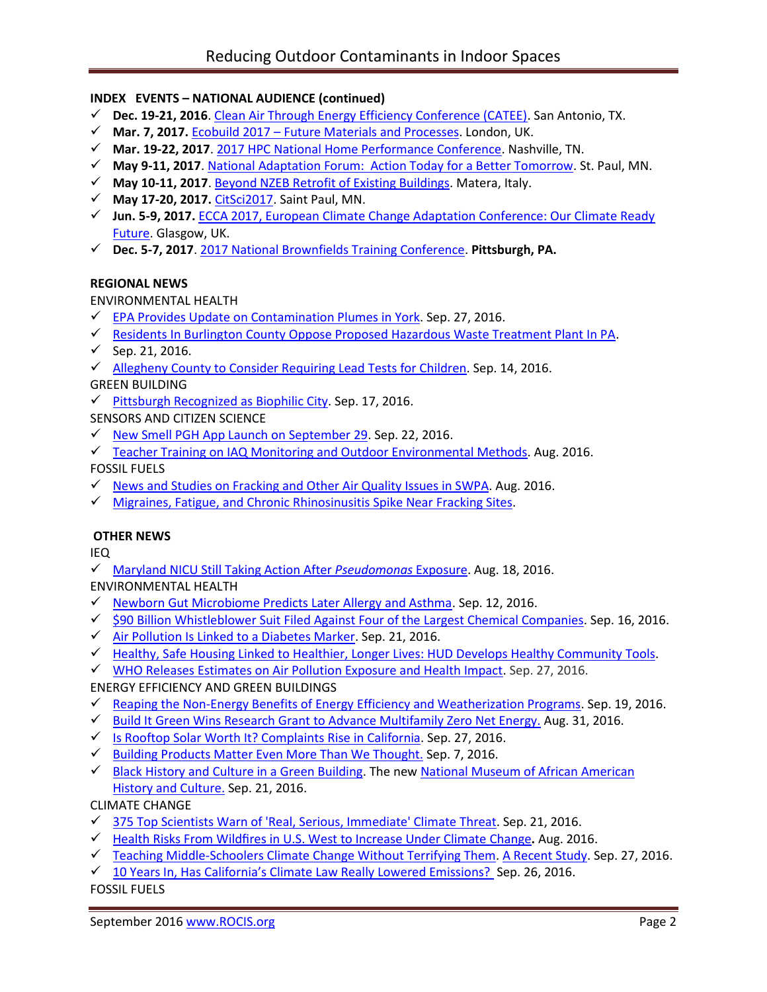## **INDEX EVENTS – NATIONAL AUDIENCE (continued)**

- **Dec. 19-21, 2016**. [Clean Air Through Energy Efficiency Conference \(CATEE\).](http://catee.tamu.edu/home) San Antonio, TX.
- **Mar. 7, 2017.** Ecobuild 2017 [Future Materials and Processes.](http://www.arcc-network.org.uk/arcc-ecobuild-2017/) London, UK.
- **Mar. 19-22, 2017**. [2017 HPC National Home Performance Conference.](http://www.homeperformance.org/conference/2017-hpc-national-home-performance-conference-trade-show) Nashville, TN.
- **May 9-11, 2017**. [National Adaptation Forum: Action Today for a Better Tomorrow.](http://www.nationaladaptationforum.org/?utm_source=Registration+Now+Open+and+CfP+Reminder+3&utm_campaign=CfP+5+Days+Announcement&utm_medium=email) St. Paul, MN.
- **May 10-11, 2017**. [Beyond NZEB Retrofit of Existing Buildings.](http://www.aicarr.org/Pages/EN/Upcoming%20Events/2016/50AiCARR.aspx) Matera, Italy.
- **May 17-20, 2017.** [CitSci2017.](http://citizenscience.org/2016/07/13/citsci2017-may-17-20th-in-saint-paul-minnesota/) Saint Paul, MN.
- **Jun. 5-9, 2017.** [ECCA 2017, European Climate Change Adaptation Conference: Our Climate Ready](http://ecca2017.eu/conference/)  [Future.](http://ecca2017.eu/conference/) Glasgow, UK.
- **Dec. 5-7, 2017**. [2017 National Brownfields Training Conference.](https://www.epa.gov/brownfields/2017-national-brownfields-training-conference) **Pittsburgh, PA.**

### **REGIONAL NEWS**

### ENVIRONMENTAL HEALTH

- $\checkmark$  [EPA Provides Update on Contamination Plumes in York.](http://www.yorknewstimes.com/news/epa-provides-public-update-on-contamination-plumes/article_447ab036-8146-11e6-8c6e-4b79fb5dd5d2.html) Sep. 27, 2016.
- $\checkmark$  [Residents In Burlington County Oppose Proposed Hazardous Waste Treatment Plant In PA.](http://patch.com/new-jersey/cinnaminson/residents-burlington-county-oppose-proposed-hazardous-waste-treatment-plant)
- $\checkmark$  Sep. 21, 2016.
- $\checkmark$  [Allegheny County to Consider Requiring Lead Tests for Children.](http://www.post-gazette.com/news/health/2016/09/14/Allegheny-County-gives-OK-to-draft-new-lead-poisoning-tests-for-infants/201609140200?utm_source=newsletter&utm_medium=email&utm_content=recommended-news&utm_campaign=Headlines-Newsletter) Sep. 14, 2016.

GREEN BUILDING

 $\checkmark$  [Pittsburgh Recognized as Biophilic City.](http://www.post-gazette.com/local/city/2016/09/17/Pittsburgh-s-cap-gets-another-feather-with-induction-into-Biophilic-Cities-network-an-effort-to-integrate-nature-into-daily-city-life/stories/201609170031) Sep. 17, 2016.

SENSORS AND CITIZEN SCIENCE

- $\checkmark$  [New Smell PGH App Launch on September 29.](http://www.cmucreatelab.org/projects/Smell_Pittsburgh) Sep. 22, 2016.
- $\checkmark$  [Teacher Training on IAQ Monitoring and Outdoor Environmental](https://create.posthaven.com/nearby-nature-professional-development-at-iu1) Methods. Aug. 2016.

FOSSIL FUELS

- $\checkmark$  [News and Studies on Fracking and Other Air Quality Issues in SWPA.](http://www.environmentalhealthproject.org/) Aug. 2016.
- K [Migraines, Fatigue, and Chronic Rhinosinusitis Spike Near Fracking Sites.](http://www.futurity.org/frackingmigraines-fatigue-1234872-2/?utm_source=Futurity+Today&utm_campaign=aaf5f5de21-August_29_20158_29_2016&utm_medium=email&utm_term=0_e34e8ee443-aaf5f5de21-206347653)

### **OTHER NEWS**

IEQ

[Maryland NICU Still Taking Action After](http://www.medscape.com/viewarticle/867595) *Pseudomonas* Exposure. Aug. 18, 2016.

ENVIRONMENTAL HEALTH

- $\checkmark$  [Newborn Gut Microbiome Predicts Later Allergy and Asthma.](https://www.sciencedaily.com/releases/2016/09/160912122348.htm) Sep. 12, 2016.
- [\\$90 Billion Whistleblower Suit Filed Against Four of the Largest Chemical Companies.](http://www.alternet.org/environment/90-billion-whistleblower-suit-filed-against-four-americas-largest-chemical-companies) Sep. 16, 2016.
- $\checkmark$  [Air Pollution Is Linked to a Diabetes Marker.](http://www.nytimes.com/2016/09/21/well/live/air-pollution-is-linked-to-a-diabetes-marker.html?_r=0) Sep. 21, 2016.
- [Healthy, Safe Housing Linked to Healthier, Longer Lives: HUD Develops Healthy Community Tools.](http://healthyhousingsolutions.com/service/applied-field-research/hud-healthy-communities-transformation-initiative/)
- $\checkmark$  [WHO Releases Estimates on Air Pollution Exposure and Health Impact.](http://www.who.int/mediacentre/news/releases/2016/air-pollution-estimates/en/) Sep. 27, 2016.

# ENERGY EFFICIENCY AND GREEN BUILDINGS

- [Reaping the Non-Energy Benefits of Energy](http://www.greenandhealthyhomes.org/blog/non-energy-benefits-energy-efficiency-and-weatherization-programs-multifamily-housing-clean) Efficiency and Weatherization Programs. Sep. 19, 2016.
- $\checkmark$  [Build It Green Wins Research Grant to Advance Multifamily Zero Net Energy.](https://www.builditgreen.org/component/content/article?layout=edit&id=161) Aug. 31, 2016.
- $\checkmark$  [Is Rooftop Solar Worth It? Complaints Rise in California.](http://www.sacbee.com/news/politics-government/capitol-alert/article104313221.html) Sep. 27, 2016.
- $\checkmark$  [Building Products Matter Even More Than We Thought.](https://www.buildinggreen.com/op-ed/building-products-matter-even-more-we-thought?woo_campaign=BGB160926&woo_content=readmore&mc_cid=319dc36af7&mc_eid=eb65409191) Sep. 7, 2016.
- $\checkmark$  [Black History and Culture in a Green Building.](http://blog.rmi.org/blog_2016_09_21_Black_History_and_Culture_in_a_Green_Building) The new National Museum of African American [History and Culture.](https://nmaahc.si.edu/) Sep. 21, 2016.

CLIMATE CHANGE

- $\checkmark$  [375 Top Scientists Warn of 'Real, Serious, Immediate' Climate Threat.](https://www.theguardian.com/environment/climate-consensus-97-per-cent/2016/sep/21/375-top-scientists-warn-of-real-serious-immediate-climate-threat) Sep. 21, 2016.
- Health Risks From Wildfires in U.S. [West to Increase Under Climate](http://bell-lab.yale.edu/news/health-risks-wildfires-us-west-increase-under-climate-change) Change**.** Aug. 2016.
- $\checkmark$  [Teaching Middle-Schoolers Climate Change Without Terrifying Them.](http://www.npr.org/sections/ed/2016/09/27/492860897/teaching-middle-schoolers-climate-change-without-terrifying-them) [A Recent Study.](http://cmapspublic2.ihmc.us/rid=1Q1B5Y465-104J5C7-3TJP/Teachers%20%26%20CC%20Issues.full.pdf) Sep. 27, 2016.
- $\checkmark$  10 Years I[n, Has California's Climate Law Really Lowered Emissions?](https://ww2.kqed.org/science/2016/09/26/10-years-in-has-californias-climate-law-really-lowered-emissions/) Sep. 26, 2016.

## FOSSIL FUELS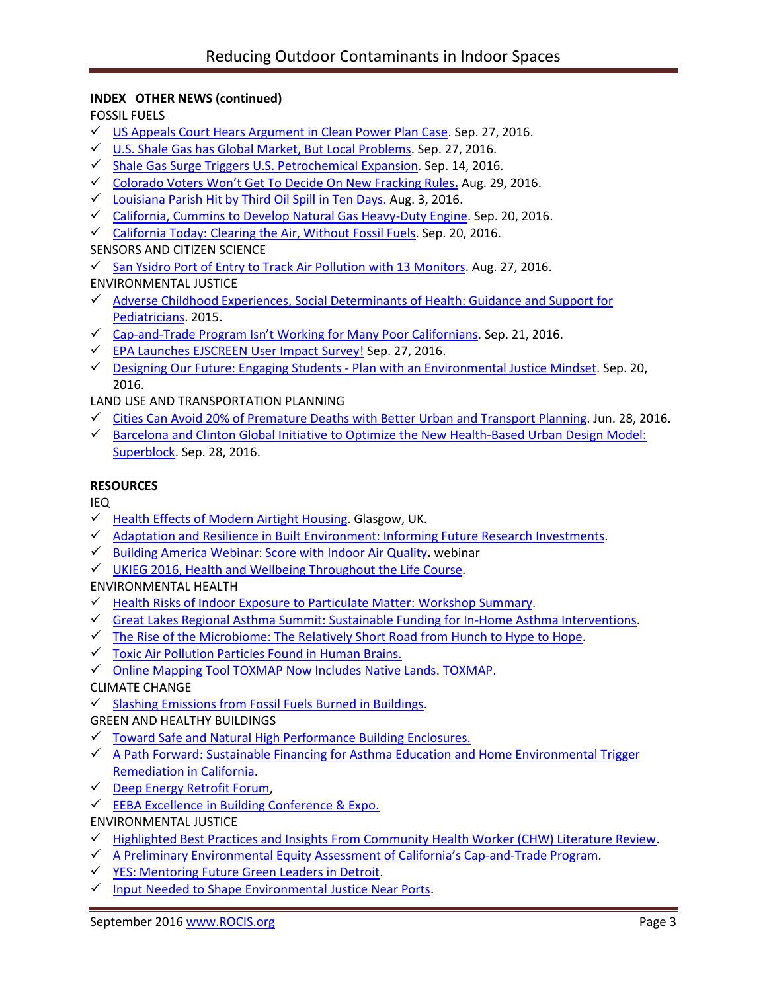## **INDEX OTHER NEWS (continued)**

FOSSIL FUELS

- $\checkmark$  [US Appeals Court Hears Argument in Clean Power Plan Case.](http://hosted.ap.org/dynamic/stories/U/US_CLEAN_AIR_LAWSUITS?SITE=AP&SECTION=HOME&TEMPLATE=DEFAULT) Sep. 27, 2016.
- $\checkmark$  [U.S. Shale Gas has Global Market, But Local Problems.](http://www.commodities-now.com/news/power-and-energy/22135-us-gas-global-market-local-problems.html) Sep. 27, 2016.
- [Shale Gas Surge Triggers U.S. Petrochemical Expansion.](http://www.bna.com/shale-gas-surge-b57982076968/) Sep. 14, 2016.
- [Colorado Voters Won't Get To Decide On New Fracking](https://thinkprogress.org/co-fracking-measures-wont-be-on-nov-ballot-2e9a0ef92445#.hen0f7vqh) Rules**.** Aug. 29, 2016.
- $\checkmark$  [Louisiana Parish Hit by Third Oil Spill in Ten Days.](http://www.desmogblog.com/2016/08/03/louisiana-parish-hit-third-oil-spill-ten-days-pressure-grows-hold-oil-and-gas-industry-accountable-coastal-damage) Aug. 3, 2016.
- [California, Cummins to Develop Natural Gas Heavy-Duty Engine.](http://www.truckinginfo.com/news/story/2016/09/calif-grants-1m-toward-alt-fuel-heavy-duty-engines.aspx) Sep. 20, 2016.
- [California Today: Clearing the Air, Without Fossil Fuels.](http://www.nytimes.com/2016/09/20/us/california-today-air-pollution-fossil-fuels.html) Sep. 20, 2016.

## SENSORS AND CITIZEN SCIENCE

 $\checkmark$  [San Ysidro Port of Entry to Track Air Pollution with](https://timesofsandiego.com/business/2016/08/27/san-ysidro-port-of-entry-to-track-air-pollution-with-13-monitors/) 13 Monitors. Aug. 27, 2016.

- ENVIRONMENTAL JUSTICE
- $\checkmark$  Adverse Childhood Experiences, Social Determinants of Health: Guidance and Support for [Pediatricians.](https://www.youtube.com/watch?v=DH69glOZXo8&feature=youtu.be) 2015.
- $\checkmark$  Cap-and-[Trade Program Isn't Working for Many P](http://www.sacbee.com/opinion/op-ed/soapbox/article103264447.html)oor Californians. Sep. 21, 2016.
- EPA Launches [EJSCREEN User Impact Survey!](https://blog.epa.gov/blog/2016/09/ej-ejscreen-user-survey/) Sep. 27, 2016.
- $\checkmark$  [Designing Our Future: Engaging Students -](https://blog.epa.gov/blog/2016/09/ej-designing-justice/) Plan with an Environmental Justice Mindset. Sep. 20, 2016.

## LAND USE AND TRANSPORTATION PLANNING

- Cities Can Avoid 20% of Premature Deaths with [Better Urban and Transport Planning.](http://www.isglobal.org/en/web/guest/new/-/asset_publisher/JZ9fGljXnWpI/content/las-ciudades-podrian-posponer-el-20-de-muertes-prematuras-cada-ano-con-una-mejor-planificacion-urbana-y-del-transporte) Jun. 28, 2016.
- [Barcelona and Clinton Global Initiative to Optimize the New Health-Based Urban Design](http://www.isglobal.org/en/web/guest/new/-/asset_publisher/JZ9fGljXnWpI/content/isglobal-y-bcnecologia-lanzan-un-commitment-to-action-de-la-clinton-global-initiative-para-optimizar-el-modelo-de-las-supermanzanas-bajo-criterios-de-) Model: [Superblock.](http://www.isglobal.org/en/web/guest/new/-/asset_publisher/JZ9fGljXnWpI/content/isglobal-y-bcnecologia-lanzan-un-commitment-to-action-de-la-clinton-global-initiative-para-optimizar-el-modelo-de-las-supermanzanas-bajo-criterios-de-) Sep. 28, 2016.

### **RESOURCES**

IEQ

- $\checkmark$  [Health Effects of Modern Airtight Housing.](https://www.eventbrite.co.uk/e/health-effects-of-modern-airtight-housing-tickets-27066387293) Glasgow, UK.
- $\checkmark$  [Adaptation and Resilience in Built Environment: Informing Future Research Investments.](https://www.eventbrite.co.uk/e/epsrcarcc-network-adaptation-and-resilience-in-the-built-environment-tickets-26657352860)
- [Building America Webinar: Score with Indoor Air](https://attendee.gotowebinar.com/register/8300234545960981250) Quality**.** webinar
- [UKIEG 2016, Health and Wellbeing Throughout the Life Course.](http://ukieg.yolasite.com/resources/2UKIEG_Flyer2016v10.pdf)

# ENVIRONMENTAL HEALTH

- $\checkmark$  [Health Risks of Indoor Exposure to Particulate Matter:](https://www.nap.edu/catalog/23531/health-risks-of-indoor-exposure-to-particulate-matter-workshop-summary?utm_source=NAP+Newsletter&utm_campaign=ed6839d63b-Final_Book_2016_09_28_23531&utm_medium=email&utm_term=0_96101de015-ed6839d63b-102385413&goal=0_96101de015-ed6839d63b-102385413&mc_cid=ed6839d63b&mc_eid=8dfcd02788) Workshop Summary.
- [Great Lakes Regional Asthma Summit: Sustainable Funding for In-Home Asthma Interventions.](http://www.asthmacommunitynetwork.org/resources/conferences/2016GreatLakesSummit?utm_content=&utm_medium=email&utm_name=&utm_source=govdelivery&utm_term=)
- $\checkmark$  [The Rise of the Microbiome: The Relatively Short Road from](http://www.medscape.com/features/slideshow/rise-of-microbiome?src=WNL_infoc_160914_MSCPEDIT_TEMP2&uac=155241PY&impID=1196444&faf=1#page=1) Hunch to Hype to Hope.
- $\checkmark$  [Toxic Air Pollution Particles Found in Human Brains.](https://www.theguardian.com/environment/2016/sep/05/toxic-air-pollution-particles-found-in-human-brains-links-alzheimers)
- $\checkmark$  [Online Mapping Tool TOXMAP Now Includes Native Lands.](http://toxmap.nlm.nih.gov/toxmap/news/2016/07/toxmap-adds-native-lands-layer-classroom-exercises.html) [TOXMAP.](http://bit.ly/2blWiea)
- CLIMATE CHANGE
- $\checkmark$  [Slashing Emissions from Fossil Fuels Burned in Buildings.](https://www.nrdc.org/experts/merrian-borgeson/slashing-emissions-fossil-fuels-burned-buildings)
- GREEN AND HEALTHY BUILDINGS
- [Toward Safe and Natural High Performance Building Enclosures.](https://recordings.join.me/9g5giAUcJ0KAyN04kqKqiA)
- [A Path Forward: Sustainable Financing for Asthma Education and Home Environmental Trigger](http://www.phi.org/resources/?resource=a-path-forward-sustainable-financing-for-asthma-education-and-home-environmental-trigger-remediation-in-california)  [Remediation in California.](http://www.phi.org/resources/?resource=a-path-forward-sustainable-financing-for-asthma-education-and-home-environmental-trigger-remediation-in-california)
- [Deep Energy Retrofit Forum,](http://iea-annex61.org/files/2016_09_WashingtonDC/Announcement.pdf)
- [EEBA Excellence in Building Conference & Expo.](http://conference.eeba.org/)
- ENVIRONMENTAL JUSTICE
- $\checkmark$  [Highlighted Best Practices and Insights From Community Health Worker \(CHW\) Literature Review.](http://www.mechw.org/docs/resources/rfp/Best%20Practices%20Recommendations%20Lit%20Review%20for%20ME%20CHWI%202_26_2016%20FINAL.pdf)
- $\checkmark$  [A Preliminary Environmental Equity](https://ww2.kqed.org/science/2016/09/26/10-years-in-has-californias-climate-law-really-lowered-emissions/) Assessment of California's Cap-and-Trade Program.
- [YES: Mentoring Future Green Leaders in Detroit.](http://www.cmu.edu/cee/news/news-archive/2016/2016-yes-mentoring-future-green-leaders.html)
- $\checkmark$  [Input Needed to Shape Environmental Justice Near Ports.](https://blog.epa.gov/blog/2016/08/ej-otaq/)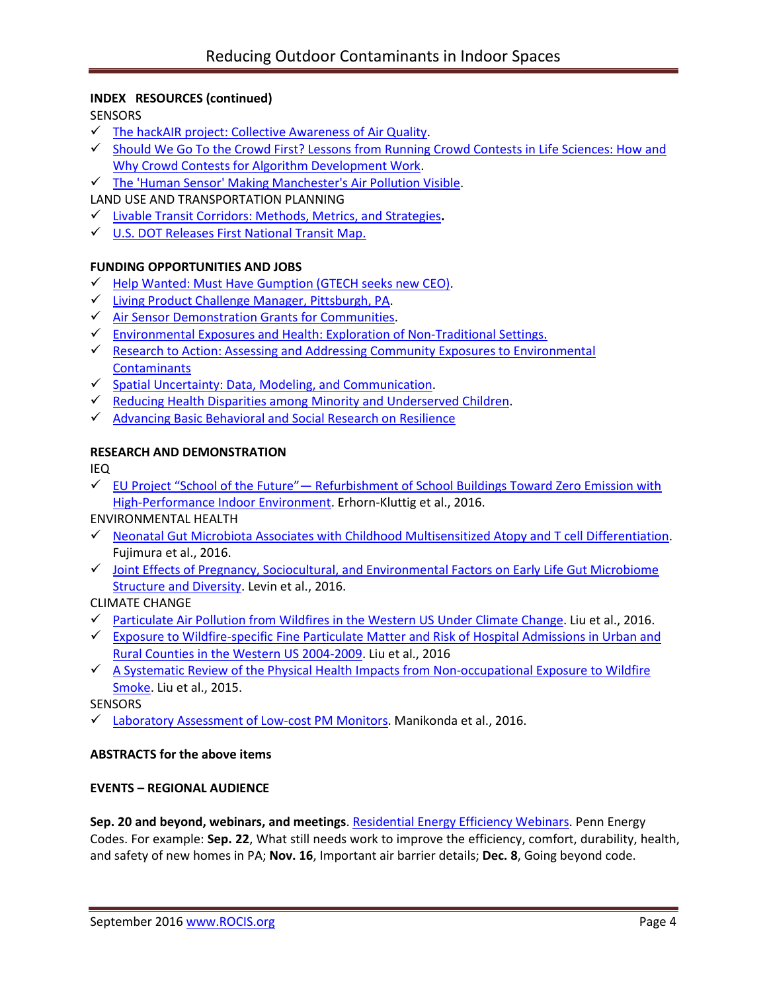## **INDEX RESOURCES (continued)**

**SENSORS** 

- $\checkmark$  [The hackAIR project: Collective Awareness of Air Quality.](http://www.hackair.eu/pages/about-hackair/)
- $\checkmark$  Should We Go To the Crowd First? Lessons from Running Crowd Contests in Life Sciences: How and [Why Crowd Contests for Algorithm Development Work.](https://videocast.nih.gov/summary.asp?live=19856&bhcp=1)
- $\checkmark$  [The 'Human Sensor' Making Manchester's Air Pollution Visible.](https://www.theguardian.com/environment/2016/jul/28/kasia-molga-the-human-sensor-making-manchesters-air-pollution-visible)

LAND USE AND TRANSPORTATION PLANNING

- [Livable Transit Corridors: Methods, Metrics, and Strategies](http://www.trb.org/Main/Blurbs/174953.aspx)**.**
- [U.S. DOT Releases First National Transit Map.](https://nextcity.org/daily/entry/usdot-releases-national-transit-map)

### **FUNDING OPPORTUNITIES AND JOBS**

- $\checkmark$  [Help Wanted: Must Have Gumption \(GTECH seeks new CEO\).](https://gtechstrategies.org/help-wanted-must-gumption/)
- [Living Product Challenge Manager, Pittsburgh, PA.](https://living-future.org/sites/default/files/16-0829%20ILFI%20Living%20Product%20Challenge%20Manager_0.pdf?utm_source=Master%20List&utm_campaign=ef58434a69-August_23_2016_newsletter&utm_medium=email&utm_term=0_458e074771-ef58434a69-392406941)
- $\checkmark$  Air [Sensor Demonstration Grants for Communities.](https://www.challenge.gov/challenge/smart-city-air-challenge/)
- $\checkmark$  [Environmental Exposures and Health: Exploration of Non-Traditional Settings.](http://bit.ly/2bvbBTq)
- ← Research to Action: Assessing and Addressing Community Exposures to Environmental **[Contaminants](http://bit.ly/2blVw0J)**
- $\checkmark$  [Spatial Uncertainty: Data, Modeling, and Communication.](http://bit.ly/2bDSqIM)
- $\checkmark$  Reducing Health Disparities among [Minority and Underserved Children.](http://bit.ly/2bMY8aD)
- $\sqrt{\phantom{a}}$  [Advancing Basic Behavioral and Social Research on Resilience](http://bit.ly/2bUNjCR)

### **RESEARCH AND DEMONSTRATION**

IEQ

 $\checkmark$  EU Project "School of the Future"— Refurbishment of School Buildings Toward Zero Emission with [High-Performance Indoor Environment.](http://iea-annex61.org/files/2016_ASHRAE_Winter_Conference/14.pdf) Erhorn-Kluttig et al., 2016.

### ENVIRONMENTAL HEALTH

- $\checkmark$  [Neonatal Gut Microbiota Associates with Childhood Multisensitized Atopy and T cell Differentiation.](http://www.nature.com/nm/journal/vaop/ncurrent/full/nm.4176.html) Fujimura et al., 2016.
- $\checkmark$  Joint Effects of Pregnancy, Sociocultural, and Environmental Factors on Early Life Gut Microbiome [Structure and Diversity.](https://www.ncbi.nlm.nih.gov/pubmed/27558272) Levin et al., 2016.

### CLIMATE CHANGE

- ← [Particulate Air Pollution from Wildfires in the Western US Under Climate Change.](http://wildfiretoday.com/documents/FutureWildfires.pdf) Liu et al., 2016.
- $\checkmark$  Exposure to Wildfire-specific Fine Particulate Matter and Risk of Hospital Admissions in Urban and [Rural Counties in the Western US 2004-2009.](http://acmg.seas.harvard.edu/publications/2016/Liu_wildfires_health_2016.pdf) Liu et al., 2016
- $\checkmark$  A Systematic [Review of the Physical Health Impacts from](https://www.ncbi.nlm.nih.gov/pubmed/25460628) Non-occupational Exposure to Wildfire [Smoke.](https://www.ncbi.nlm.nih.gov/pubmed/25460628) Liu et al., 2015.

**SENSORS** 

 $\checkmark$  [Laboratory Assessment of Low-cost PM Monitors.](https://www.researchgate.net/publication/307532980_Laboratory_Assessment_of_Low-Cost_PM_Monitors) Manikonda et al., 2016.

### **ABSTRACTS for the above items**

### **EVENTS – REGIONAL AUDIENCE**

**Sep. 20 and beyond, webinars, and meetings**. [Residential Energy Efficiency Webinars.](http://pennenergycodes.com/) Penn Energy Codes. For example: **Sep. 22**, What still needs work to improve the efficiency, comfort, durability, health, and safety of new homes in PA; **Nov. 16**, Important air barrier details; **Dec. 8**, Going beyond code.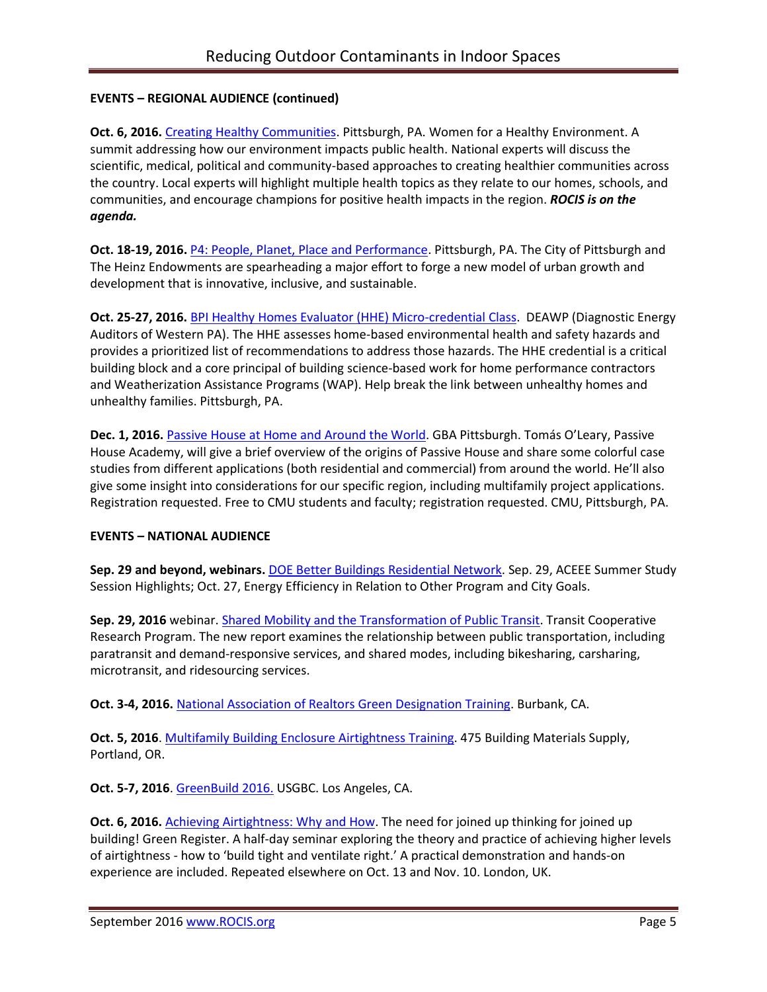# **EVENTS – REGIONAL AUDIENCE (continued)**

**Oct. 6, 2016.** [Creating Healthy Communities.](http://womenforahealthyenvironment.org/whats-happening/creating-healthy-communities-conference.html) Pittsburgh, PA. Women for a Healthy Environment. A summit addressing how our environment impacts public health. National experts will discuss the scientific, medical, political and community-based approaches to creating healthier communities across the country. Local experts will highlight multiple health topics as they relate to our homes, schools, and communities, and encourage champions for positive health impacts in the region. *ROCIS is on the agenda.*

**Oct. 18-19, 2016.** [P4: People, Planet, Place and Performance.](http://www.p4pittsburgh.org/) Pittsburgh, PA. The City of Pittsburgh and The Heinz Endowments are spearheading a major effort to forge a new model of urban growth and development that is innovative, inclusive, and sustainable.

**Oct. 25-27, 2016.** BPI Healthy [Homes Evaluator \(HHE\) Micro-credential Class.](http://www.deawp.org/professional-training) DEAWP (Diagnostic Energy Auditors of Western PA). The HHE assesses home-based environmental health and safety hazards and provides a prioritized list of recommendations to address those hazards. The HHE credential is a critical building block and a core principal of building science-based work for home performance contractors and Weatherization Assistance Programs (WAP). Help break the link between unhealthy homes and unhealthy families. Pittsburgh, PA.

**Dec. 1, 2016.** [Passive House at Home and Around the World.](https://www.go-gba.org/events/passive-house-home-around-world-featuring-passive-house-academys-tomas-oleary/) GBA Pittsburgh. Tomás O'Leary, Passive House Academy, will give a brief overview of the origins of Passive House and share some colorful case studies from different applications (both residential and commercial) from around the world. He'll also give some insight into considerations for our specific region, including multifamily project applications. Registration requested. Free to CMU students and faculty; registration requested. CMU, Pittsburgh, PA.

# **EVENTS – NATIONAL AUDIENCE**

Sep. 29 and beyond, webinars. **DOE Better Buildings Residential Network**. Sep. 29, ACEEE Summer Study Session Highlights; Oct. 27, Energy Efficiency in Relation to Other Program and City Goals.

**Sep. 29, 2016** webinar. [Shared Mobility and the Transformation of Public Transit.](http://www.trb.org/TCRP/Blurbs/174653.aspx) Transit Cooperative Research Program. The new report examines the relationship between public transportation, including paratransit and demand-responsive services, and shared modes, including bikesharing, carsharing, microtransit, and ridesourcing services.

**Oct. 3-4, 2016.** [National Association of Realtors Green Designation Training.](https://www.builditgreen.org/index.php/event-detail/?eventId=a1JE0000009EU6BMAW) Burbank, CA.

**Oct. 5, 2016**[. Multifamily Building Enclosure Airtightness Training.](https://foursevenfive.com/event/make-it-tight-building-enclosure-airtightness-training-pdx-oct-5/) 475 Building Materials Supply, Portland, OR.

**Oct. 5-7, 2016**[. GreenBuild 2016.](http://greenbuildexpo.com/Attendee/ShowInfo) USGBC. Los Angeles, CA.

**Oct. 6, 2016.** [Achieving Airtightness: Why and How.](http://www.greenregister.org.uk/civicrm/event/info?id=297) The need for joined up thinking for joined up building! Green Register. A half-day seminar exploring the theory and practice of achieving higher levels of airtightness - how to 'build tight and ventilate right.' A practical demonstration and hands-on experience are included. Repeated elsewhere on Oct. 13 and Nov. 10. London, UK.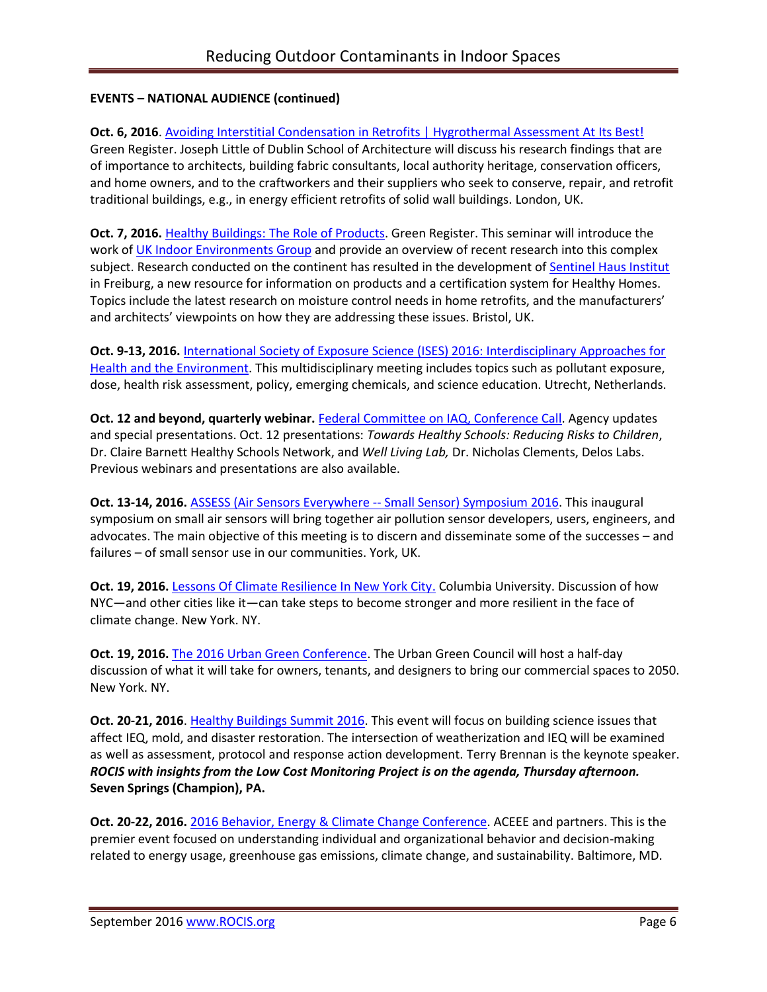# **EVENTS – NATIONAL AUDIENCE (continued)**

# **Oct. 6, 2016**[. Avoiding Interstitial Condensation in Retrofits | Hygrothermal Assessment At Its Best!](http://www.greenregister.org.uk/civicrm/event/info?id=298)

Green Register. Joseph Little of Dublin School of Architecture will discuss his research findings that are of importance to architects, building fabric consultants, local authority heritage, conservation officers, and home owners, and to the craftworkers and their suppliers who seek to conserve, repair, and retrofit traditional buildings, e.g., in energy efficient retrofits of solid wall buildings. London, UK.

**Oct. 7, 2016.** [Healthy Buildings: The Role of Products.](http://www.greenregister.org.uk/civicrm/event/info?id=300&reset=1) Green Register. This seminar will introduce the work o[f UK Indoor Environments Group](http://www.ukieg.org/) and provide an overview of recent research into this complex subject. Research conducted on the continent has resulted in the development of [Sentinel Haus Institut](http://www.sentinel-haus.eu/en/) in Freiburg, a new resource for information on products and a certification system for Healthy Homes. Topics include the latest research on moisture control needs in home retrofits, and the manufacturers' and architects' viewpoints on how they are addressing these issues. Bristol, UK.

**Oct. 9-13, 2016.** International Society of [Exposure Science \(ISES\) 2016: Interdisciplinary Approaches for](http://ises2016.org/)  [Health and the Environment.](http://ises2016.org/) This multidisciplinary meeting includes topics such as pollutant exposure, dose, health risk assessment, policy, emerging chemicals, and science education. Utrecht, Netherlands.

**Oct. 12 and beyond, quarterly webinar.** [Federal Committee on IAQ, Conference Call.](https://www.epa.gov/indoor-air-quality-iaq/federal-interagency-committee-indoor-air-quality) Agency updates and special presentations. Oct. 12 presentations: *Towards Healthy Schools: Reducing Risks to Children*, Dr. Claire Barnett Healthy Schools Network, and *Well Living Lab,* Dr. Nicholas Clements, Delos Labs. Previous webinars and presentations are also available.

**Oct. 13-14, 2016.** [ASSESS \(Air Sensors Everywhere --](http://blogs.umass.edu/ase/ase-events/ase-symposium-2016/) Small Sensor) Symposium 2016. This inaugural symposium on small air sensors will bring together air pollution sensor developers, users, engineers, and advocates. The main objective of this meeting is to discern and disseminate some of the successes – and failures – of small sensor use in our communities. York, UK.

**Oct. 19, 2016.** [Lessons Of Climate Resilience In New York City.](https://events.columbia.edu/cal/event/showEventMore.rdo) Columbia University. Discussion of how NYC—and other cities like it—can take steps to become stronger and more resilient in the face of climate change. New York. NY.

**Oct. 19, 2016.** [The 2016 Urban Green Conference.](http://urbangreencouncil.org/content/events/2016-urban-green-conference) The Urban Green Council will host a half-day discussion of what it will take for owners, tenants, and designers to bring our commercial spaces to 2050. New York. NY.

**Oct. 20-21, 2016**. [Healthy Buildings Summit 2016.](http://www.iaqtraining.com/2016Flyers/healthy_building_summit.pdf) This event will focus on building science issues that affect IEQ, mold, and disaster restoration. The intersection of weatherization and IEQ will be examined as well as assessment, protocol and response action development. Terry Brennan is the keynote speaker. *ROCIS with insights from the Low Cost Monitoring Project is on the agenda, Thursday afternoon.* **Seven Springs (Champion), PA.**

**Oct. 20-22, 2016.** [2016 Behavior, Energy & Climate Change Conference.](http://aceee.org/conferences/2016/becc) ACEEE and partners. This is the premier event focused on understanding individual and organizational behavior and decision-making related to energy usage, greenhouse gas emissions, climate change, and sustainability. Baltimore, MD.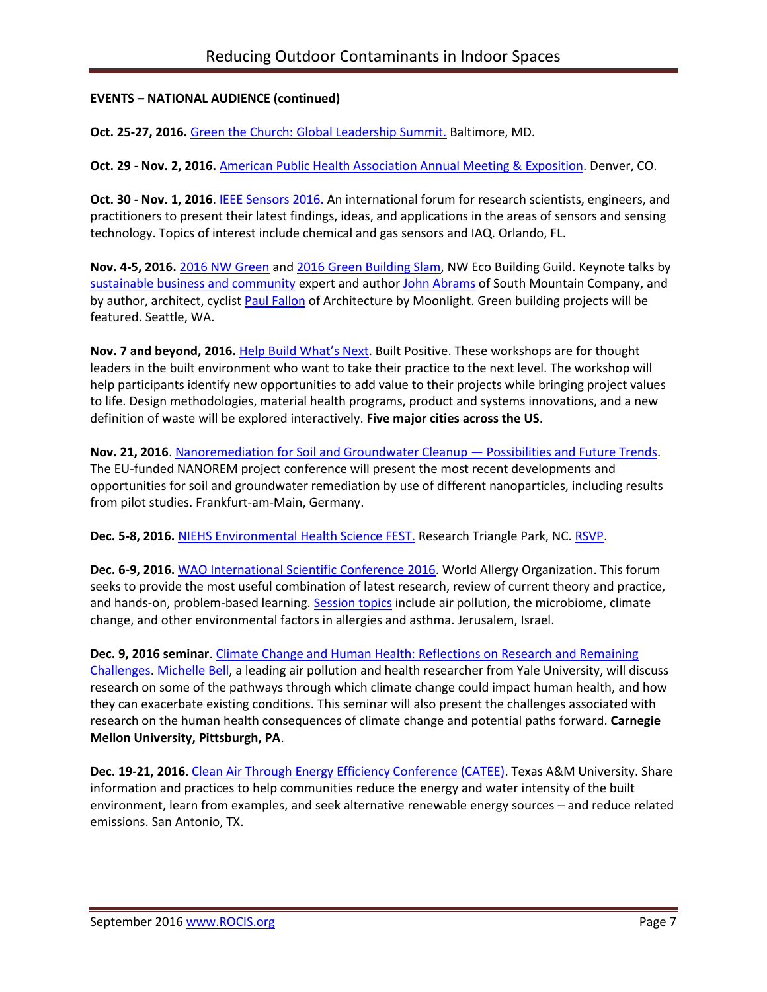# **EVENTS – NATIONAL AUDIENCE (continued)**

**Oct. 25-27, 2016.** [Green the Church: Global Leadership Summit.](https://www.willowcreek.com/events/leadership/index.html) Baltimore, MD.

**Oct. 29 - Nov. 2, 2016.** [American Public Health Association Annual Meeting & Exposition.](http://www.apha.org/events-and-meetings/annual) Denver, CO.

**Oct. 30 - Nov. 1, 2016**. [IEEE Sensors 2016.](http://ieee-sensors2016.org/) An international forum for research scientists, engineers, and practitioners to present their latest findings, ideas, and applications in the areas of sensors and sensing technology. Topics of interest include chemical and gas sensors and IAQ. Orlando, FL.

**Nov. 4-5, 2016.** [2016 NW](https://ecobuilding.org/conference) Green and [2016 Green Building Slam,](https://www.ecobuilding.org/seattle/gbs) NW Eco Building Guild. Keynote talks by [sustainable business and community](https://www.youtube.com/watch?v=_bEW1PwQ5Wg) expert and author [John Abrams](https://www.youtube.com/watch?v=tcAx4vKfr2A) of South Mountain Company, and by author, architect, cyclist [Paul Fallon](https://paulefallon.com/?ct=t%28Newsletter_7_127_12_2016%29&mc_cid=4c671ac587&mc_eid=3c38cc84b1) of Architecture by Moonlight. Green building projects will be featured. Seattle, WA.

**Nov. 7 and beyond, 2016.** [Help Build What's Next](http://www.c2ccertified.org/connect/built-positive-workshop-series?mc_cid=ede5f5e520&mc_eid=eb65409191). Built Positive. These workshops are for thought leaders in the built environment who want to take their practice to the next level. The workshop will help participants identify new opportunities to add value to their projects while bringing project values to life. Design methodologies, material health programs, product and systems innovations, and a new definition of waste will be explored interactively. **Five major cities across the US**.

**Nov. 21, 2016**. [Nanoremediation for Soil and Groundwater Cleanup](http://www.nanorem.eu/Displaynews.aspx?ID=895) — Possibilities and Future Trends. The EU-funded NANOREM project conference will present the most recent developments and opportunities for soil and groundwater remediation by use of different nanoparticles, including results from pilot studies. Frankfurt-am-Main, Germany.

**Dec. 5-8, 2016.** [NIEHS Environmental Health Science FEST.](http://tools.niehs.nih.gov/conference/ehs_fest/) Research Triangle Park, NC. [RSVP.](https://www.surveymonkey.com/r/EHSFESTRSVP)

**Dec. 6-9, 2016.** [WAO International Scientific Conference](http://www.worldallergy.org/wisc2016) 2016. World Allergy Organization. This forum seeks to provide the most useful combination of latest research, review of current theory and practice, and hands-on, problem-based learning[. Session topics](http://www.dekon.com.tr/WISC2016/program/Default.asp) include air pollution, the microbiome, climate change, and other environmental factors in allergies and asthma. Jerusalem, Israel.

**Dec. 9, 2016 seminar**. [Climate Change and Human Health: Reflections on Research and Remaining](http://www.cmu.edu/cee/events/seminar.html)  [Challenges.](http://www.cmu.edu/cee/events/seminar.html) [Michelle Bell,](http://bell-lab.yale.edu/) a leading air pollution and health researcher from Yale University, will discuss research on some of the pathways through which climate change could impact human health, and how they can exacerbate existing conditions. This seminar will also present the challenges associated with research on the human health consequences of climate change and potential paths forward. **Carnegie Mellon University, Pittsburgh, PA**.

**Dec. 19-21, 2016**. [Clean Air Through Energy Efficiency Conference \(CATEE\).](http://catee.tamu.edu/home) Texas A&M University. Share information and practices to help communities reduce the energy and water intensity of the built environment, learn from examples, and seek alternative renewable energy sources – and reduce related emissions. San Antonio, TX.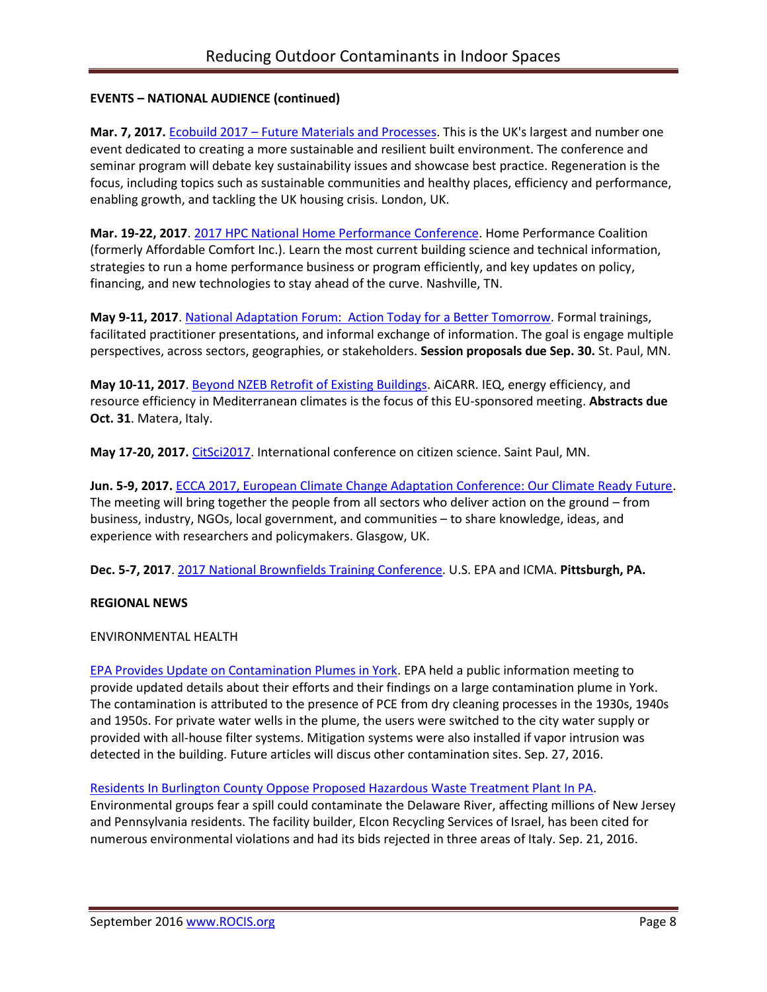# **EVENTS – NATIONAL AUDIENCE (continued)**

**Mar. 7, 2017.** Ecobuild 2017 – [Future Materials and Processes.](http://www.arcc-network.org.uk/arcc-ecobuild-2017/) This is the UK's largest and number one event dedicated to creating a more sustainable and resilient built environment. The conference and seminar program will debate key sustainability issues and showcase best practice. Regeneration is the focus, including topics such as sustainable communities and healthy places, efficiency and performance, enabling growth, and tackling the UK housing crisis. London, UK.

**Mar. 19-22, 2017**. [2017 HPC National Home Performance Conference.](http://www.homeperformance.org/conference/2017-hpc-national-home-performance-conference-trade-show) Home Performance Coalition (formerly Affordable Comfort Inc.). Learn the most current building science and technical information, strategies to run a home performance business or program efficiently, and key updates on policy, financing, and new technologies to stay ahead of the curve. Nashville, TN.

**May 9-11, 2017**. [National Adaptation Forum: Action Today for a Better Tomorrow.](http://www.nationaladaptationforum.org/?utm_source=Registration+Now+Open+and+CfP+Reminder+3&utm_campaign=CfP+5+Days+Announcement&utm_medium=email) Formal trainings, facilitated practitioner presentations, and informal exchange of information. The goal is engage multiple perspectives, across sectors, geographies, or stakeholders. **Session proposals due Sep. 30.** St. Paul, MN.

**May 10-11, 2017**. [Beyond NZEB Retrofit of Existing Buildings.](http://www.aicarr.org/Pages/EN/Upcoming%20Events/2016/50AiCARR.aspx) AiCARR. IEQ, energy efficiency, and resource efficiency in Mediterranean climates is the focus of this EU-sponsored meeting. **Abstracts due Oct. 31**. Matera, Italy.

**May 17-20, 2017.** [CitSci2017.](http://citizenscience.org/2016/07/13/citsci2017-may-17-20th-in-saint-paul-minnesota/) International conference on citizen science. Saint Paul, MN.

**Jun. 5-9, 2017.** [ECCA 2017, European Climate Change Adaptation Conference: Our Climate Ready Future.](http://ecca2017.eu/conference/) The meeting will bring together the people from all sectors who deliver action on the ground – from business, industry, NGOs, local government, and communities – to share knowledge, ideas, and experience with researchers and policymakers. Glasgow, UK.

**Dec. 5-7, 2017**. [2017 National Brownfields Training Conference.](https://www.epa.gov/brownfields/2017-national-brownfields-training-conference) U.S. EPA and ICMA. **Pittsburgh, PA.**

# **REGIONAL NEWS**

### ENVIRONMENTAL HEALTH

[EPA Provides Update on Contamination Plumes in York.](http://www.yorknewstimes.com/news/epa-provides-public-update-on-contamination-plumes/article_447ab036-8146-11e6-8c6e-4b79fb5dd5d2.html) EPA held a public information meeting to provide updated details about their efforts and their findings on a large contamination plume in York. The contamination is attributed to the presence of PCE from dry cleaning processes in the 1930s, 1940s and 1950s. For private water wells in the plume, the users were switched to the city water supply or provided with all-house filter systems. Mitigation systems were also installed if vapor intrusion was detected in the building. Future articles will discus other contamination sites. Sep. 27, 2016.

[Residents In Burlington County Oppose Proposed Hazardous Waste Treatment Plant In PA.](http://patch.com/new-jersey/cinnaminson/residents-burlington-county-oppose-proposed-hazardous-waste-treatment-plant)

Environmental groups fear a spill could contaminate the Delaware River, affecting millions of New Jersey and Pennsylvania residents. The facility builder, Elcon Recycling Services of Israel, has been cited for numerous environmental violations and had its bids rejected in three areas of Italy. Sep. 21, 2016.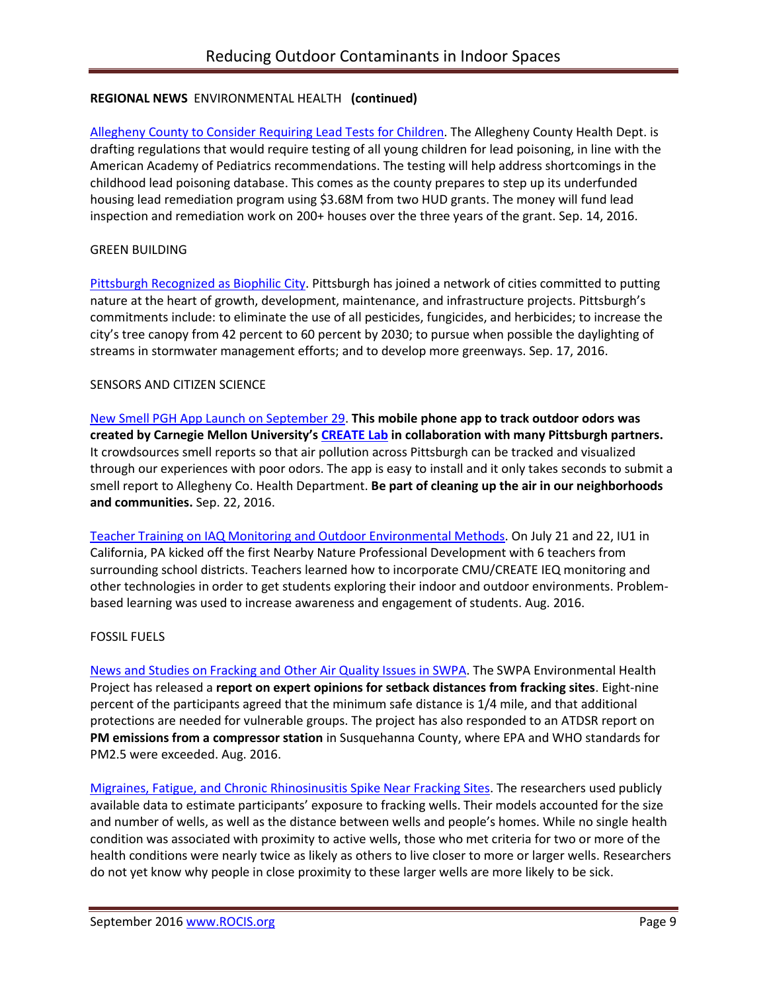# **REGIONAL NEWS** ENVIRONMENTAL HEALTH **(continued)**

[Allegheny County to Consider Requiring Lead Tests for Children.](http://www.post-gazette.com/news/health/2016/09/14/Allegheny-County-gives-OK-to-draft-new-lead-poisoning-tests-for-infants/201609140200?utm_source=newsletter&utm_medium=email&utm_content=recommended-news&utm_campaign=Headlines-Newsletter) The Allegheny County Health Dept. is drafting regulations that would require testing of all young children for lead poisoning, in line with the American Academy of Pediatrics recommendations. The testing will help address shortcomings in the childhood lead poisoning database. This comes as the county prepares to step up its underfunded housing lead remediation program using \$3.68M from two HUD grants. The money will fund lead inspection and remediation work on 200+ houses over the three years of the grant. Sep. 14, 2016.

### GREEN BUILDING

[Pittsburgh Recognized as Biophilic City.](http://www.post-gazette.com/local/city/2016/09/17/Pittsburgh-s-cap-gets-another-feather-with-induction-into-Biophilic-Cities-network-an-effort-to-integrate-nature-into-daily-city-life/stories/201609170031) Pittsburgh has joined a network of cities committed to putting nature at the heart of growth, development, maintenance, and infrastructure projects. Pittsburgh's commitments include: to eliminate the use of all pesticides, fungicides, and herbicides; to increase the city's tree canopy from 42 percent to 60 percent by 2030; to pursue when possible the daylighting of streams in stormwater management efforts; and to develop more greenways. Sep. 17, 2016.

## SENSORS AND CITIZEN SCIENCE

[New Smell PGH App Launch on September 29.](http://www.cmucreatelab.org/projects/Smell_Pittsburgh) **This mobile phone app to track outdoor odors was created by Carnegie Mellon University's [CREATE Lab](http://www.cmucreatelab.org/) in collaboration with many Pittsburgh partners.** It crowdsources smell reports so that air pollution across Pittsburgh can be tracked and visualized through our experiences with poor odors. The app is easy to install and it only takes seconds to submit a smell report to Allegheny Co. Health Department. **Be part of cleaning up the air in our neighborhoods and communities.** Sep. 22, 2016.

[Teacher Training on IAQ Monitoring and Outdoor Environmental](https://create.posthaven.com/nearby-nature-professional-development-at-iu1) Methods. On July 21 and 22, IU1 in California, PA kicked off the first Nearby Nature Professional Development with 6 teachers from surrounding school districts. Teachers learned how to incorporate CMU/CREATE IEQ monitoring and other technologies in order to get students exploring their indoor and outdoor environments. Problembased learning was used to increase awareness and engagement of students. Aug. 2016.

# FOSSIL FUELS

[News and Studies on Fracking and Other Air Quality Issues in SWPA.](http://www.environmentalhealthproject.org/) The SWPA Environmental Health Project has released a **report on expert opinions for setback distances from fracking sites**. Eight-nine percent of the participants agreed that the minimum safe distance is 1/4 mile, and that additional protections are needed for vulnerable groups. The project has also responded to an ATDSR report on **PM emissions from a compressor station** in Susquehanna County, where EPA and WHO standards for PM2.5 were exceeded. Aug. 2016.

[Migraines, Fatigue, and Chronic Rhinosinusitis Spike Near Fracking Sites.](http://www.futurity.org/frackingmigraines-fatigue-1234872-2/?utm_source=Futurity+Today&utm_campaign=aaf5f5de21-August_29_20158_29_2016&utm_medium=email&utm_term=0_e34e8ee443-aaf5f5de21-206347653) The researchers used publicly available data to estimate participants' exposure to fracking wells. Their models accounted for the size and number of wells, as well as the distance between wells and people's homes. While no single health condition was associated with proximity to active wells, those who met criteria for two or more of the health conditions were nearly twice as likely as others to live closer to more or larger wells. Researchers do not yet know why people in close proximity to these larger wells are more likely to be sick.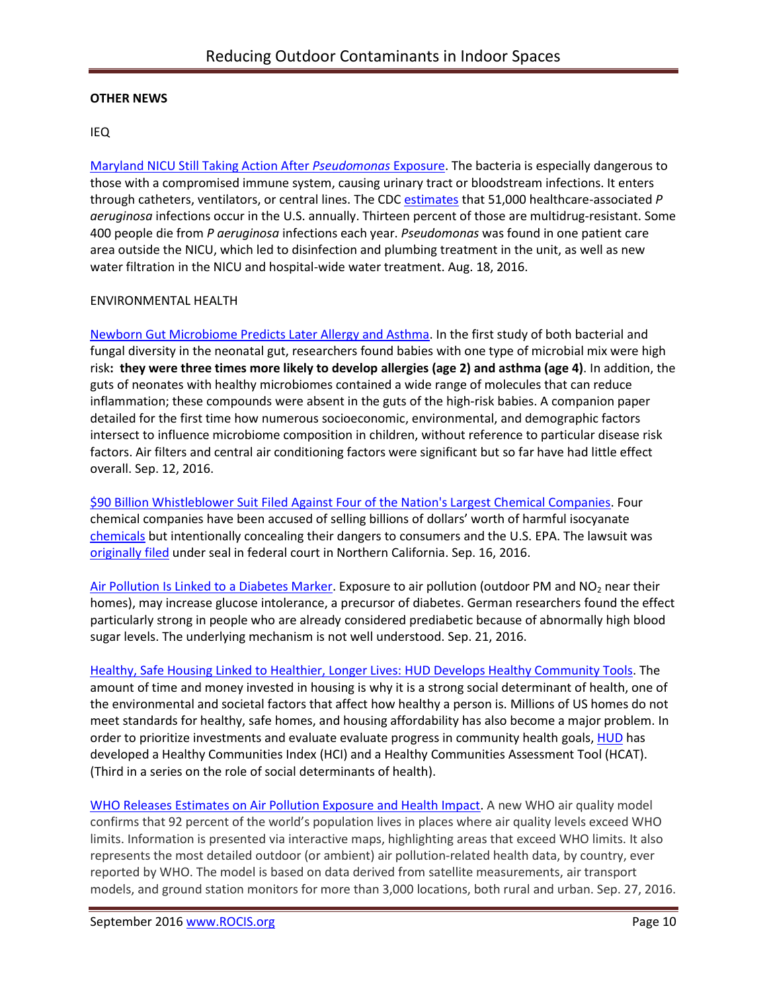## **OTHER NEWS**

### IEQ

[Maryland NICU Still Taking Action After](http://www.medscape.com/viewarticle/867595) *Pseudomonas* Exposure. The bacteria is especially dangerous to those with a compromised immune system, causing urinary tract or bloodstream infections. It enters through catheters, ventilators, or central lines. The CDC [estimates](http://www.cdc.gov/HAI/organisms/Pseudomonas.html) that 51,000 healthcare-associated *P aeruginosa* infections occur in the U.S. annually. Thirteen percent of those are multidrug-resistant. Some 400 people die from *P aeruginosa* infections each year. *Pseudomonas* was found in one patient care area outside the NICU, which led to disinfection and plumbing treatment in the unit, as well as new water filtration in the NICU and hospital-wide water treatment. Aug. 18, 2016.

### ENVIRONMENTAL HEALTH

[Newborn Gut Microbiome Predicts Later Allergy and Asthma.](https://www.sciencedaily.com/releases/2016/09/160912122348.htm) In the first study of both bacterial and fungal diversity in the neonatal gut, researchers found babies with one type of microbial mix were high risk**: they were three times more likely to develop allergies (age 2) and asthma (age 4)**. In addition, the guts of neonates with healthy microbiomes contained a wide range of molecules that can reduce inflammation; these compounds were absent in the guts of the high-risk babies. A companion paper detailed for the first time how numerous socioeconomic, environmental, and demographic factors intersect to influence microbiome composition in children, without reference to particular disease risk factors. Air filters and central air conditioning factors were significant but so far have had little effect overall. Sep. 12, 2016.

[\\$90 Billion Whistleblower Suit Filed Against Four of the Nation's Largest Chemical Companies.](http://www.alternet.org/environment/90-billion-whistleblower-suit-filed-against-four-americas-largest-chemical-companies) Four chemical companies have been accused of selling billions of dollars' worth of harmful isocyanate [chemicals](http://www.ecowatch.com/10-toxic-chemicals-epa-should-reconsider-now-1935395086.html) but intentionally concealing their dangers to consumers and the U.S. EPA. The lawsuit was [originally filed](http://www.law360.com/articles/831315/kasowitz-benson-says-chem-cos-hid-risks-owe-billions) under seal in federal court in Northern California. Sep. 16, 2016.

[Air Pollution Is Linked to a Diabetes Marker.](http://www.nytimes.com/2016/09/21/well/live/air-pollution-is-linked-to-a-diabetes-marker.html?_r=0) Exposure to air pollution (outdoor PM and NO<sub>2</sub> near their homes), may increase glucose intolerance, a precursor of diabetes. German researchers found the effect particularly strong in people who are already considered prediabetic because of abnormally high blood sugar levels. The underlying mechanism is not well understood. Sep. 21, 2016.

[Healthy, Safe Housing Linked to Healthier, Longer Lives: HUD Develops Healthy Community Tools.](http://healthyhousingsolutions.com/service/applied-field-research/hud-healthy-communities-transformation-initiative/) The amount of time and money invested in housing is why it is a strong social determinant of health, one of the environmental and societal factors that affect how healthy a person is. Millions of US homes do not meet standards for healthy, safe homes, and housing affordability has also become a major problem. In order to prioritize investments and evaluate evaluate progress in community health goals[, HUD](http://healthyhousingsolutions.com/service/applied-field-research/hud-healthy-communities-transformation-initiative/) has developed a Healthy Communities Index (HCI) and a Healthy Communities Assessment Tool (HCAT). (Third in a series on the role of social determinants of health).

[WHO Releases Estimates on Air Pollution Exposure and Health Impact.](http://www.who.int/mediacentre/news/releases/2016/air-pollution-estimates/en/) A new WHO air quality model confirms that 92 percent of the world's population lives in places where air quality levels exceed WHO limits. Information is presented via interactive maps, highlighting areas that exceed WHO limits. It also represents the most detailed outdoor (or ambient) air pollution-related health data, by country, ever reported by WHO. The model is based on data derived from satellite measurements, air transport models, and ground station monitors for more than 3,000 locations, both rural and urban. Sep. 27, 2016.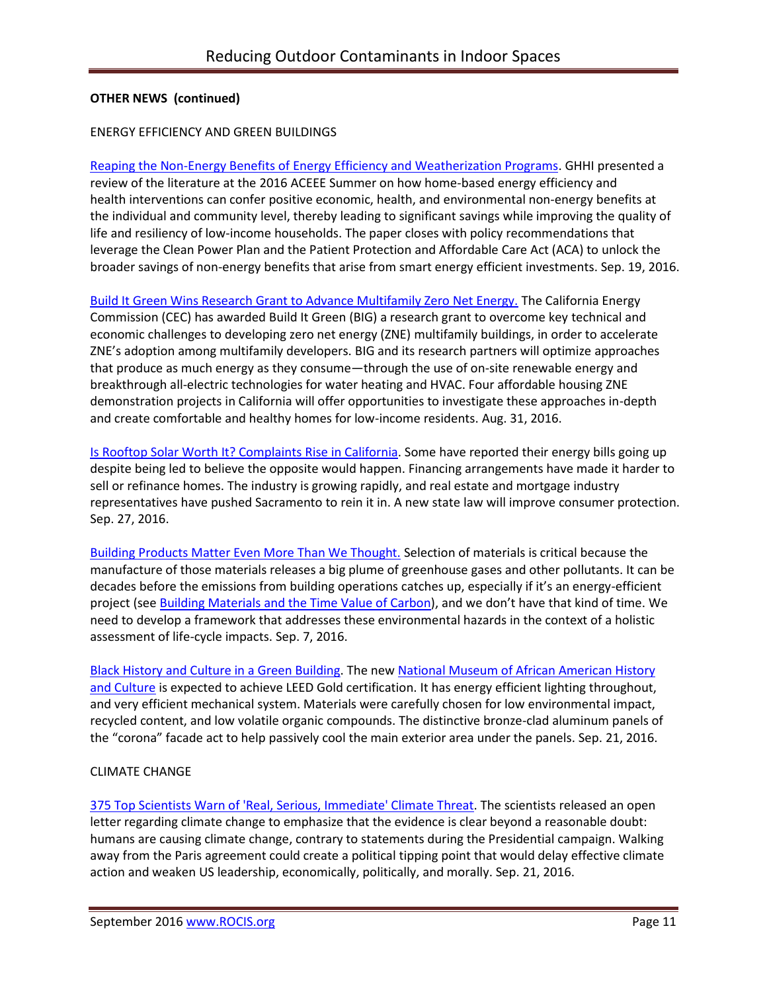### ENERGY EFFICIENCY AND GREEN BUILDINGS

[Reaping the Non-Energy Benefits of Energy Efficiency and Weatherization Programs.](http://www.greenandhealthyhomes.org/blog/non-energy-benefits-energy-efficiency-and-weatherization-programs-multifamily-housing-clean) GHHI presented a review of the literature at the 2016 ACEEE Summer on how home-based energy efficiency and health interventions can confer positive economic, health, and environmental non-energy benefits at the individual and community level, thereby leading to significant savings while improving the quality of life and resiliency of low-income households. The paper closes with policy recommendations that leverage the Clean Power Plan and the Patient Protection and Affordable Care Act (ACA) to unlock the broader savings of non-energy benefits that arise from smart energy efficient investments. Sep. 19, 2016.

[Build It Green Wins Research Grant to Advance Multifamily Zero Net Energy.](https://www.builditgreen.org/component/content/article?layout=edit&id=161) The California Energy Commission (CEC) has awarded Build It Green (BIG) a research grant to overcome key technical and economic challenges to developing zero net energy (ZNE) multifamily buildings, in order to accelerate ZNE's adoption among multifamily developers. BIG and its research partners will optimize approaches that produce as much energy as they consume—through the use of on-site renewable energy and breakthrough all-electric technologies for water heating and HVAC. Four affordable housing ZNE demonstration projects in California will offer opportunities to investigate these approaches in-depth and create comfortable and healthy homes for low-income residents. Aug. 31, 2016.

[Is Rooftop Solar Worth It? Complaints Rise in California.](http://www.sacbee.com/news/politics-government/capitol-alert/article104313221.html) Some have reported their energy bills going up despite being led to believe the opposite would happen. Financing arrangements have made it harder to sell or refinance homes. The industry is growing rapidly, and real estate and mortgage industry representatives have pushed Sacramento to rein it in. A new state law will improve consumer protection. Sep. 27, 2016.

[Building Products Matter Even More Than We Thought.](https://www.buildinggreen.com/op-ed/building-products-matter-even-more-we-thought?woo_campaign=BGB160926&woo_content=readmore&mc_cid=319dc36af7&mc_eid=eb65409191) Selection of materials is critical because the manufacture of those materials releases a big plume of greenhouse gases and other pollutants. It can be decades before the emissions from building operations catches up, especially if it's an energy-efficient project (see [Building Materials and the Time Value of Carbon](https://www.buildinggreen.com/op-ed/building-materials-and-time-value-carbon)), and we don't have that kind of time. We need to develop a framework that addresses these environmental hazards in the context of a holistic assessment of life-cycle impacts. Sep. 7, 2016.

[Black History and Culture in a Green Building.](http://blog.rmi.org/blog_2016_09_21_Black_History_and_Culture_in_a_Green_Building) The ne[w National Museum of African American History](https://nmaahc.si.edu/)  [and Culture](https://nmaahc.si.edu/) is expected to achieve LEED Gold certification. It has energy efficient lighting throughout, and very efficient mechanical system. Materials were carefully chosen for low environmental impact, recycled content, and low volatile organic compounds. The distinctive bronze-clad aluminum panels of the "corona" facade act to help passively cool the main exterior area under the panels. Sep. 21, 2016.

### CLIMATE CHANGE

[375 Top Scientists Warn of 'Real, Serious, Immediate' Climate Threat.](https://www.theguardian.com/environment/climate-consensus-97-per-cent/2016/sep/21/375-top-scientists-warn-of-real-serious-immediate-climate-threat) The scientists released an open letter regarding climate change to emphasize that the evidence is clear beyond a reasonable doubt: humans are causing climate change, contrary to statements during the Presidential campaign. Walking away from the Paris agreement could create a political tipping point that would delay effective climate action and weaken US leadership, economically, politically, and morally. Sep. 21, 2016.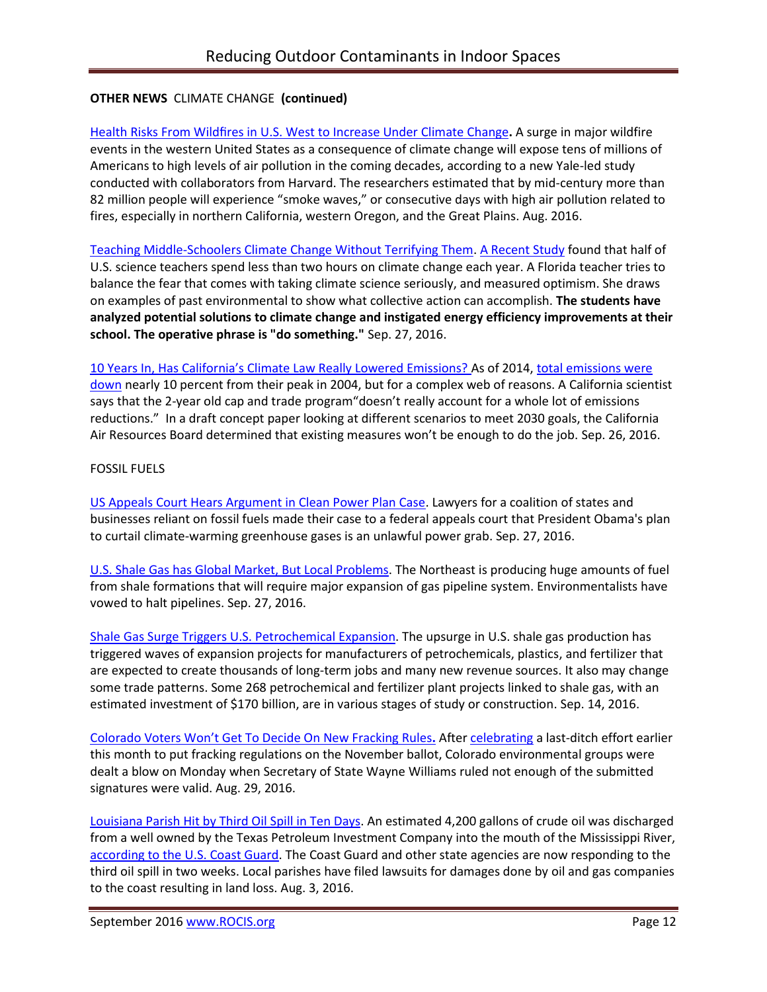# **OTHER NEWS** CLIMATE CHANGE **(continued)**

Health Risks From Wildfires in U.S. [West to Increase Under Climate](http://bell-lab.yale.edu/news/health-risks-wildfires-us-west-increase-under-climate-change) Change**.** A surge in major wildfire events in the western United States as a consequence of climate change will expose tens of millions of Americans to high levels of air pollution in the coming decades, according to a new Yale-led study conducted with collaborators from Harvard. The researchers estimated that by mid-century more than 82 million people will experience "smoke waves," or consecutive days with high air pollution related to fires, especially in northern California, western Oregon, and the Great Plains. Aug. 2016.

[Teaching Middle-Schoolers Climate Change Without Terrifying Them.](http://www.npr.org/sections/ed/2016/09/27/492860897/teaching-middle-schoolers-climate-change-without-terrifying-them) [A Recent Study](http://cmapspublic2.ihmc.us/rid=1Q1B5Y465-104J5C7-3TJP/Teachers%20%26%20CC%20Issues.full.pdf) found that half of U.S. science teachers spend less than two hours on climate change each year. A Florida teacher tries to balance the fear that comes with taking climate science seriously, and measured optimism. She draws on examples of past environmental to show what collective action can accomplish. **The students have analyzed potential solutions to climate change and instigated energy efficiency improvements at their school. The operative phrase is "do something."** Sep. 27, 2016.

10 Years I[n, Has California's Climate Law Really Lowered Emissions?](https://ww2.kqed.org/science/2016/09/26/10-years-in-has-californias-climate-law-really-lowered-emissions/) As of 2014[, total emissions](https://www.arb.ca.gov/cc/inventory/data/tables/ghg_inventory_scopingplan_2000-14.pdf) were [down](https://www.arb.ca.gov/cc/inventory/data/tables/ghg_inventory_scopingplan_2000-14.pdf) nearly 10 percent from their peak in 2004, but for a complex web of reasons. A California scientist says that the 2-year old cap and trade program"doesn't really account for a whole lot of emissions reductions." In a draft concept paper looking at different scenarios to meet 2030 goals, the California Air Resources Board determined that existing measures won't be enough to do the job. Sep. 26, 2016.

## FOSSIL FUELS

[US Appeals Court Hears Argument in Clean Power Plan Case.](http://hosted.ap.org/dynamic/stories/U/US_CLEAN_AIR_LAWSUITS?SITE=AP&SECTION=HOME&TEMPLATE=DEFAULT) Lawyers for a coalition of states and businesses reliant on fossil fuels made their case to a federal appeals court that President Obama's plan to curtail climate-warming greenhouse gases is an unlawful power grab. Sep. 27, 2016.

[U.S. Shale Gas has Global Market, But Local Problems.](http://www.commodities-now.com/news/power-and-energy/22135-us-gas-global-market-local-problems.html) The Northeast is producing huge amounts of fuel from shale formations that will require major expansion of gas pipeline system. Environmentalists have vowed to halt pipelines. Sep. 27, 2016.

[Shale Gas Surge Triggers U.S. Petrochemical Expansion.](http://www.bna.com/shale-gas-surge-b57982076968/) The upsurge in U.S. shale gas production has triggered waves of expansion projects for manufacturers of petrochemicals, plastics, and fertilizer that are expected to create thousands of long-term jobs and many new revenue sources. It also may change some trade patterns. Some 268 petrochemical and fertilizer plant projects linked to shale gas, with an estimated investment of \$170 billion, are in various stages of study or construction. Sep. 14, 2016.

[Colorado Voters Won't Get To Decide On New Fracking](https://thinkprogress.org/co-fracking-measures-wont-be-on-nov-ballot-2e9a0ef92445#.hen0f7vqh) Rules**.** Afte[r celebrating](https://thinkprogress.org/anti-fracking-measures-make-co-ballot-9fee4d9f6a6#.kj0hxbklb) a last-ditch effort earlier this month to put fracking regulations on the November ballot, Colorado environmental groups were dealt a blow on Monday when Secretary of State Wayne Williams ruled not enough of the submitted signatures were valid. Aug. 29, 2016.

[Louisiana Parish Hit by Third Oil Spill in Ten Days.](http://www.desmogblog.com/2016/08/03/louisiana-parish-hit-third-oil-spill-ten-days-pressure-grows-hold-oil-and-gas-industry-accountable-coastal-damage) An estimated 4,200 gallons of crude oil was discharged from a well owned by the Texas Petroleum Investment Company into the mouth of the Mississippi River, [according to the](http://www.uscgnews.com/go/doc/4007/2870974/) U.S. Coast Guard. The Coast Guard and other state agencies are now responding to the third oil spill in two weeks. Local parishes have filed lawsuits for damages done by oil and gas companies to the coast resulting in land loss. Aug. 3, 2016.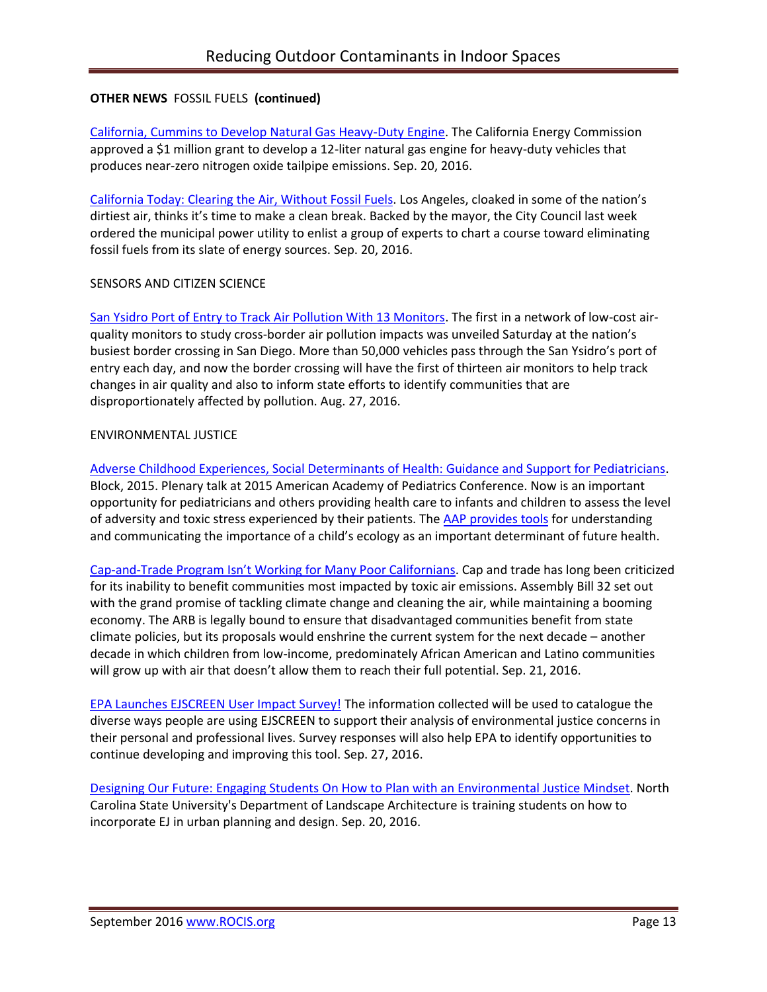## **OTHER NEWS** FOSSIL FUELS **(continued)**

[California, Cummins to Develop Natural Gas Heavy-Duty Engine.](http://www.truckinginfo.com/news/story/2016/09/calif-grants-1m-toward-alt-fuel-heavy-duty-engines.aspx) The California Energy Commission approved a \$1 million grant to develop a 12-liter natural gas engine for heavy-duty vehicles that produces near-zero nitrogen oxide tailpipe emissions. Sep. 20, 2016.

[California Today: Clearing the Air, Without Fossil Fuels.](http://www.nytimes.com/2016/09/20/us/california-today-air-pollution-fossil-fuels.html) Los Angeles, cloaked in some of the nation's dirtiest air, thinks it's time to make a clean break. Backed by the mayor, the City Council last week ordered the municipal power utility to enlist a group of experts to chart a course toward eliminating fossil fuels from its slate of energy sources. Sep. 20, 2016.

### SENSORS AND CITIZEN SCIENCE

[San Ysidro Port of Entry to Track Air Pollution With 13 Monitors.](https://timesofsandiego.com/business/2016/08/27/san-ysidro-port-of-entry-to-track-air-pollution-with-13-monitors/) The first in a network of low-cost airquality monitors to study cross-border air pollution impacts was unveiled Saturday at the nation's busiest border crossing in San Diego. More than 50,000 vehicles pass through the San Ysidro's port of entry each day, and now the border crossing will have the first of thirteen air monitors to help track changes in air quality and also to inform state efforts to identify communities that are disproportionately affected by pollution. Aug. 27, 2016.

### ENVIRONMENTAL JUSTICE

[Adverse Childhood Experiences, Social Determinants of Health: Guidance and Support for Pediatricians.](https://www.youtube.com/watch?v=DH69glOZXo8&feature=youtu.be) Block, 2015. Plenary talk at 2015 American Academy of Pediatrics Conference. Now is an important opportunity for pediatricians and others providing health care to infants and children to assess the level of adversity and toxic stress experienced by their patients. The [AAP provides](https://www.aap.org/en-us/advocacy-and-policy/aap-health-initiatives/poverty/Pages/home.aspx?nfstatus=401&nftoken=00000000-0000-0000-0000-000000000000&nfstatusdescription=ERROR%3a+No+local+token) tools for understanding and communicating the importance of a child's ecology as an important determinant of future health.

Cap-and-[Trade Program Isn't Working for Many P](http://www.sacbee.com/opinion/op-ed/soapbox/article103264447.html)oor Californians. Cap and trade has long been criticized for its inability to benefit communities most impacted by toxic air emissions. Assembly Bill 32 set out with the grand promise of tackling climate change and cleaning the air, while maintaining a booming economy. The ARB is legally bound to ensure that disadvantaged communities benefit from state climate policies, but its proposals would enshrine the current system for the next decade – another decade in which children from low-income, predominately African American and Latino communities will grow up with air that doesn't allow them to reach their full potential. Sep. 21, 2016.

EPA Launches [EJSCREEN User Impact Survey!](https://blog.epa.gov/blog/2016/09/ej-ejscreen-user-survey/) The information collected will be used to catalogue the diverse ways people are using EJSCREEN to support their analysis of environmental justice concerns in their personal and professional lives. Survey responses will also help EPA to identify opportunities to continue developing and improving this tool. Sep. 27, 2016.

[Designing Our Future: Engaging Students On How to Plan with an Environmental Justice Mindset.](https://blog.epa.gov/blog/2016/09/ej-designing-justice/) North Carolina State University's Department of Landscape Architecture is training students on how to incorporate EJ in urban planning and design. Sep. 20, 2016.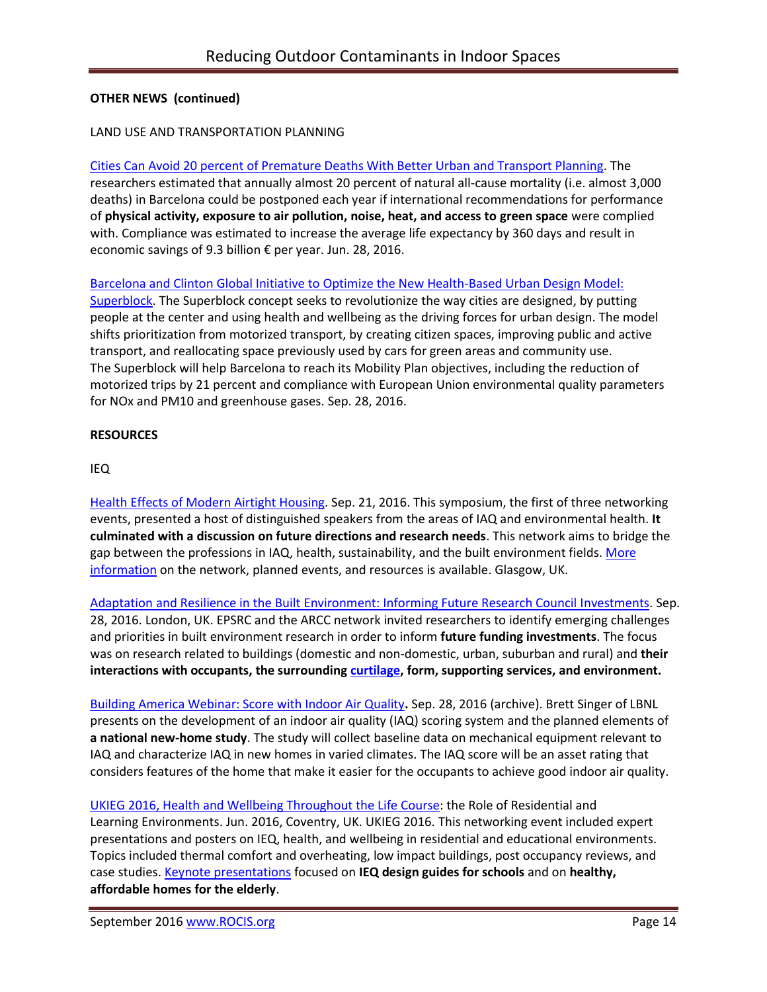### LAND USE AND TRANSPORTATION PLANNING

Cities Can Avoid 20 percent [of Premature Deaths With Better Urban and Transport Planning.](http://www.isglobal.org/en/web/guest/new/-/asset_publisher/JZ9fGljXnWpI/content/las-ciudades-podrian-posponer-el-20-de-muertes-prematuras-cada-ano-con-una-mejor-planificacion-urbana-y-del-transporte) The researchers estimated that annually almost 20 percent of natural all-cause mortality (i.e. almost 3,000 deaths) in Barcelona could be postponed each year if international recommendations for performance of **physical activity, exposure to air pollution, noise, heat, and access to green space** were complied with. Compliance was estimated to increase the average life expectancy by 360 days and result in economic savings of 9.3 billion € per year. Jun. 28, 2016.

[Barcelona and Clinton Global Initiative to Optimize the New Health-Based Urban Design](http://www.isglobal.org/en/web/guest/new/-/asset_publisher/JZ9fGljXnWpI/content/isglobal-y-bcnecologia-lanzan-un-commitment-to-action-de-la-clinton-global-initiative-para-optimizar-el-modelo-de-las-supermanzanas-bajo-criterios-de-) Model: [Superblock.](http://www.isglobal.org/en/web/guest/new/-/asset_publisher/JZ9fGljXnWpI/content/isglobal-y-bcnecologia-lanzan-un-commitment-to-action-de-la-clinton-global-initiative-para-optimizar-el-modelo-de-las-supermanzanas-bajo-criterios-de-) The Superblock concept seeks to revolutionize the way cities are designed, by putting people at the center and using health and wellbeing as the driving forces for urban design. The model shifts prioritization from motorized transport, by creating citizen spaces, improving public and active transport, and reallocating space previously used by cars for green areas and community use. The Superblock will help Barcelona to reach its Mobility Plan objectives, including the reduction of motorized trips by 21 percent and compliance with European Union environmental quality parameters for NOx and PM10 and greenhouse gases. Sep. 28, 2016.

#### **RESOURCES**

IEQ

[Health Effects of Modern Airtight Housing.](https://www.eventbrite.co.uk/e/health-effects-of-modern-airtight-housing-tickets-27066387293) Sep. 21, 2016. This symposium, the first of three networking events, presented a host of distinguished speakers from the areas of IAQ and environmental health. **It culminated with a discussion on future directions and research needs**. This network aims to bridge the gap between the professions in IAQ, health, sustainability, and the built environment fields. [More](http://www.hemacnetwork.com/)  [information](http://www.hemacnetwork.com/) on the network, planned events, and resources is available. Glasgow, UK.

[Adaptation and Resilience in the Built Environment: Informing Future Research Council Investments.](https://www.eventbrite.co.uk/e/epsrcarcc-network-adaptation-and-resilience-in-the-built-environment-tickets-26657352860) Sep. 28, 2016. London, UK. EPSRC and the ARCC network invited researchers to identify emerging challenges and priorities in built environment research in order to inform **future funding investments**. The focus was on research related to buildings (domestic and non-domestic, urban, suburban and rural) and **their interactions with occupants, the surrounding [curtilage,](https://en.wikipedia.org/wiki/Curtilage) form, supporting services, and environment.** 

[Building America Webinar: Score with Indoor Air Quality](https://attendee.gotowebinar.com/register/8300234545960981250)**.** Sep. 28, 2016 (archive). Brett Singer of LBNL presents on the development of an indoor air quality (IAQ) scoring system and the planned elements of **a national new-home study**. The study will collect baseline data on mechanical equipment relevant to IAQ and characterize IAQ in new homes in varied climates. The IAQ score will be an asset rating that considers features of the home that make it easier for the occupants to achieve good indoor air quality.

[UKIEG 2016, Health and Wellbeing Throughout the Life Course:](http://ukieg.yolasite.com/resources/2UKIEG_Flyer2016v10.pdf) the Role of Residential and Learning Environments. Jun. 2016, Coventry, UK. UKIEG 2016. This networking event included expert presentations and posters on IEQ, health, and wellbeing in residential and educational environments. Topics included thermal comfort and overheating, low impact buildings, post occupancy reviews, and case studies. [Keynote presentations](http://ukieg.yolasite.com/resources/UKIEG2016KeynotesPresentations.zip) focused on **IEQ design guides for schools** and on **healthy, affordable homes for the elderly**.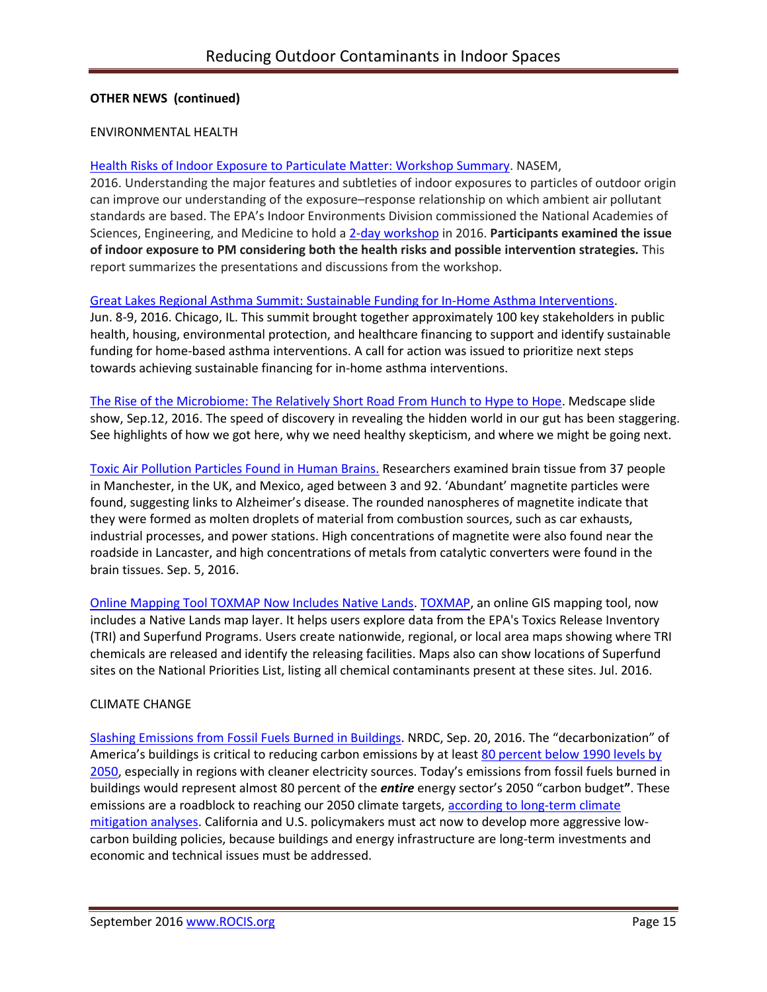#### ENVIRONMENTAL HEALTH

#### [Health Risks of Indoor Exposure to Particulate Matter:](https://www.nap.edu/catalog/23531/health-risks-of-indoor-exposure-to-particulate-matter-workshop-summary?utm_source=NAP+Newsletter&utm_campaign=ed6839d63b-Final_Book_2016_09_28_23531&utm_medium=email&utm_term=0_96101de015-ed6839d63b-102385413&goal=0_96101de015-ed6839d63b-102385413&mc_cid=ed6839d63b&mc_eid=8dfcd02788) Workshop Summary. NASEM,

2016. Understanding the major features and subtleties of indoor exposures to particles of outdoor origin can improve our understanding of the exposure–response relationship on which ambient air pollutant standards are based. The EPA's Indoor Environments Division commissioned the National Academies of Sciences, Engineering, and Medicine to hold a 2-day [workshop](http://www.nationalacademies.org/hmd/Activities/PublicHealth/Health-Risks-Indoor-Exposure-ParticulateMatter.aspx) in 2016. **Participants examined the issue of indoor exposure to PM considering both the health risks and possible intervention strategies.** This report summarizes the presentations and discussions from the workshop.

#### [Great Lakes Regional Asthma Summit: Sustainable Funding for In-Home Asthma Interventions.](http://www.asthmacommunitynetwork.org/resources/conferences/2016GreatLakesSummit?utm_content=&utm_medium=email&utm_name=&utm_source=govdelivery&utm_term=)

Jun. 8-9, 2016. Chicago, IL. This summit brought together approximately 100 key stakeholders in public health, housing, environmental protection, and healthcare financing to support and identify sustainable funding for home-based asthma interventions. A call for action was issued to prioritize next steps towards achieving sustainable financing for in-home asthma interventions.

[The Rise of the Microbiome: The Relatively Short Road From Hunch to Hype to Hope.](http://www.medscape.com/features/slideshow/rise-of-microbiome?src=WNL_infoc_160914_MSCPEDIT_TEMP2&uac=155241PY&impID=1196444&faf=1#page=1) Medscape slide show, Sep.12, 2016. The speed of discovery in revealing the hidden world in our gut has been staggering. See highlights of how we got here, why we need healthy skepticism, and where we might be going next.

[Toxic Air Pollution Particles Found in Human Brains.](https://www.theguardian.com/environment/2016/sep/05/toxic-air-pollution-particles-found-in-human-brains-links-alzheimers) Researchers examined brain tissue from 37 people in Manchester, in the UK, and Mexico, aged between 3 and 92. 'Abundant' magnetite particles were found, suggesting links to Alzheimer's disease. The rounded nanospheres of magnetite indicate that they were formed as molten droplets of material from combustion sources, such as car exhausts, industrial processes, and power stations. High concentrations of magnetite were also found near the roadside in Lancaster, and high concentrations of metals from catalytic converters were found in the brain tissues. Sep. 5, 2016.

[Online Mapping Tool TOXMAP Now Includes Native Lands.](http://toxmap.nlm.nih.gov/toxmap/news/2016/07/toxmap-adds-native-lands-layer-classroom-exercises.html) [TOXMAP,](http://bit.ly/2blWiea) an online GIS mapping tool, now includes a Native Lands map layer. It helps users explore data from the EPA's Toxics Release Inventory (TRI) and Superfund Programs. Users create nationwide, regional, or local area maps showing where TRI chemicals are released and identify the releasing facilities. Maps also can show locations of Superfund sites on the National Priorities List, listing all chemical contaminants present at these sites. Jul. 2016.

### CLIMATE CHANGE

[Slashing Emissions from Fossil Fuels Burned in Buildings.](https://www.nrdc.org/experts/merrian-borgeson/slashing-emissions-fossil-fuels-burned-buildings) NRDC, Sep. 20, 2016. The "decarbonization" of America's buildings is critical to reducing carbon emissions by at least 80 percent below 1990 levels by [2050,](http://grist.org/climate-energy/yes-the-u-s-can-reduce-emissions-80-by-2050-in-six-graphs/) especially in regions with cleaner electricity sources. Today's emissions from fossil fuels burned in buildings would represent almost 80 percent of the *entire* energy sector's 2050 "carbon budget**"**. These emissions are a roadblock to reaching our 2050 climate targets, according to long-term climate [mitigation analyses.](https://www.nrdc.org/experts/merrian-borgeson/what-might-future-look-if-we-took-climate-change-seriously) California and U.S. policymakers must act now to develop more aggressive lowcarbon building policies, because buildings and energy infrastructure are long-term investments and economic and technical issues must be addressed.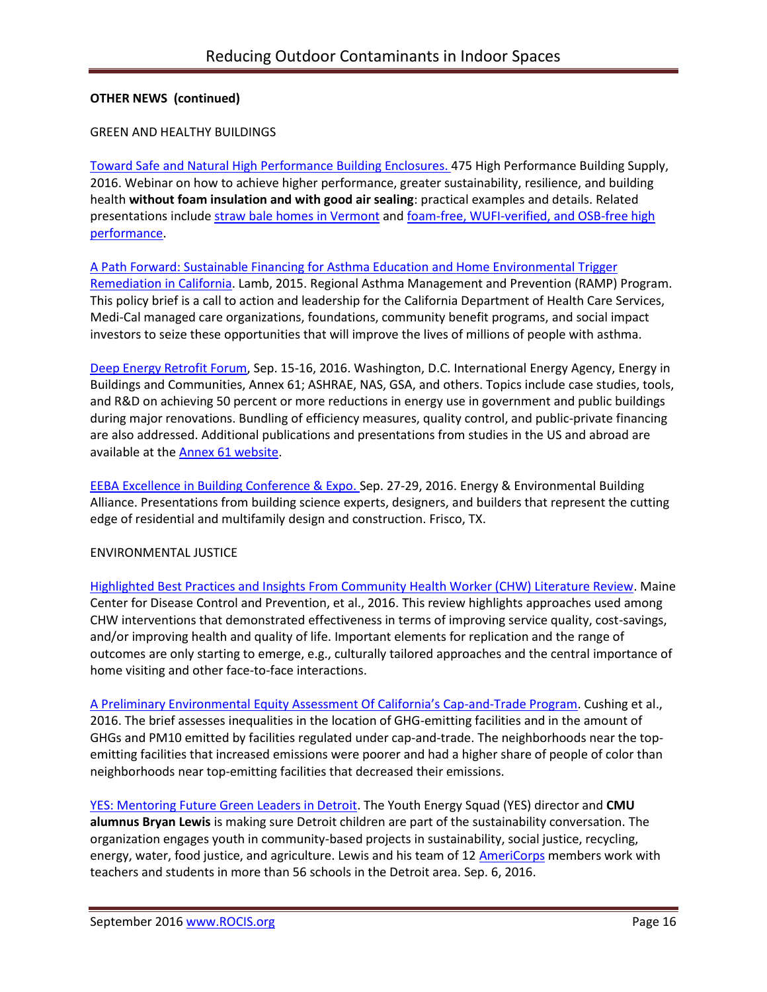#### GREEN AND HEALTHY BUILDINGS

[Toward Safe and Natural High Performance Building Enclosures.](https://recordings.join.me/9g5giAUcJ0KAyN04kqKqiA) 475 High Performance Building Supply, 2016. Webinar on how to achieve higher performance, greater sustainability, resilience, and building health **without foam insulation and with good air sealing**: practical examples and details. Related presentations include [straw bale homes in Vermont](https://foursevenfive.com/475-on-site-vapor-open-straw-bale-vermont-natural-homes/) and [foam-free, WUFI-verified, and OSB-free high](https://foursevenfive.com/middlesex-vt-foam-free-wufi-verified-and-osb-free-high-performance/)  [performance.](https://foursevenfive.com/middlesex-vt-foam-free-wufi-verified-and-osb-free-high-performance/)

#### [A Path Forward: Sustainable Financing for Asthma Education and Home Environmental Trigger](http://www.phi.org/resources/?resource=a-path-forward-sustainable-financing-for-asthma-education-and-home-environmental-trigger-remediation-in-california)

[Remediation in California.](http://www.phi.org/resources/?resource=a-path-forward-sustainable-financing-for-asthma-education-and-home-environmental-trigger-remediation-in-california) Lamb, 2015. Regional Asthma Management and Prevention (RAMP) Program. This policy brief is a call to action and leadership for the California Department of Health Care Services, Medi-Cal managed care organizations, foundations, community benefit programs, and social impact investors to seize these opportunities that will improve the lives of millions of people with asthma.

[Deep Energy Retrofit Forum,](http://iea-annex61.org/files/2016_09_WashingtonDC/Announcement.pdf) Sep. 15-16, 2016. Washington, D.C. International Energy Agency, Energy in Buildings and Communities, Annex 61; ASHRAE, NAS, GSA, and others. Topics include case studies, tools, and R&D on achieving 50 percent or more reductions in energy use in government and public buildings during major renovations. Bundling of efficiency measures, quality control, and public-private financing are also addressed. Additional publications and presentations from studies in the US and abroad are available at the [Annex 61 website.](http://iea-annex61.org/)

[EEBA Excellence in Building Conference & Expo.](http://conference.eeba.org/) Sep. 27-29, 2016. Energy & Environmental Building Alliance. Presentations from building science experts, designers, and builders that represent the cutting edge of residential and multifamily design and construction. Frisco, TX.

### ENVIRONMENTAL JUSTICE

[Highlighted Best Practices and Insights From Community Health Worker \(CHW\) Literature Review.](http://www.mechw.org/docs/resources/rfp/Best%20Practices%20Recommendations%20Lit%20Review%20for%20ME%20CHWI%202_26_2016%20FINAL.pdf) Maine Center for Disease Control and Prevention, et al., 2016. This review highlights approaches used among CHW interventions that demonstrated effectiveness in terms of improving service quality, cost-savings, and/or improving health and quality of life. Important elements for replication and the range of outcomes are only starting to emerge, e.g., culturally tailored approaches and the central importance of home visiting and other face-to-face interactions.

[A Preliminary Environmental Equity Assessment Of California's Cap](https://ww2.kqed.org/science/2016/09/26/10-years-in-has-californias-climate-law-really-lowered-emissions/)-and-Trade Program. Cushing et al., 2016. The brief assesses inequalities in the location of GHG-emitting facilities and in the amount of GHGs and PM10 emitted by facilities regulated under cap-and-trade. The neighborhoods near the topemitting facilities that increased emissions were poorer and had a higher share of people of color than neighborhoods near top-emitting facilities that decreased their emissions.

[YES: Mentoring Future Green Leaders in Detroit.](http://www.cmu.edu/cee/news/news-archive/2016/2016-yes-mentoring-future-green-leaders.html) The Youth Energy Squad (YES) director and **CMU alumnus Bryan Lewis** is making sure Detroit children are part of the sustainability conversation. The organization engages youth in community-based projects in sustainability, social justice, recycling, energy, water, food justice, and agriculture. Lewis and his team of 1[2 AmeriCorps](http://www.nationalservice.gov/programs/americorps) members work with teachers and students in more than 56 schools in the Detroit area. Sep. 6, 2016.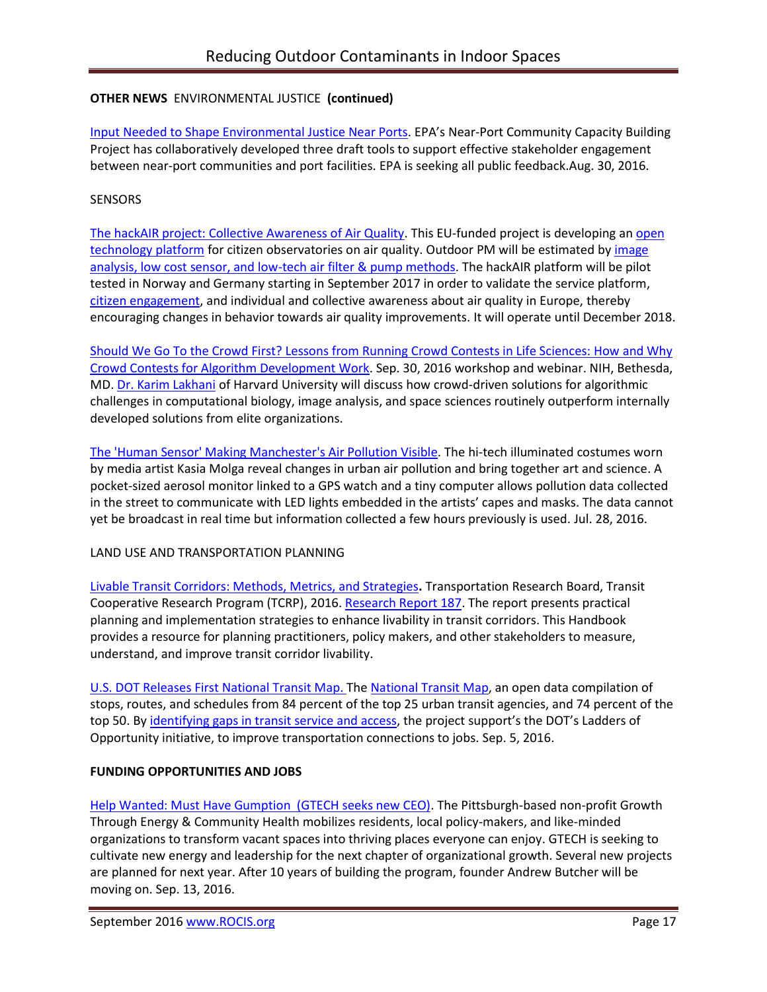# **OTHER NEWS** ENVIRONMENTAL JUSTICE **(continued)**

[Input Needed to Shape Environmental Justice Near Ports](https://blog.epa.gov/blog/2016/08/ej-otaq/). EPA's Near-Port Community Capacity Building Project has collaboratively developed three draft tools to support effective stakeholder engagement between near-port communities and port facilities. EPA is seeking all public feedback.Aug. 30, 2016.

## **SENSORS**

[The hackAIR project: Collective Awareness of Air Quality.](http://www.hackair.eu/pages/about-hackair/) This EU-funded project is developing a[n open](http://www.slideshare.net/hackAIR/hackair-open-technology-to-map-the-air-we-breathe)  [technology platform](http://www.slideshare.net/hackAIR/hackair-open-technology-to-map-the-air-we-breathe) for citizen observatories on air quality. Outdoor PM will be estimated b[y image](http://dev.hackair.eu/data-sources/#low-tech-measurement-setup)  [analysis, low cost sensor, and low-tech air filter & pump methods.](http://dev.hackair.eu/data-sources/#low-tech-measurement-setup) The hackAIR platform will be pilot tested in Norway and Germany starting in September 2017 in order to validate the service platform, [citizen engagement,](http://www.hackair.eu/wp-content/uploads/2016/05/D8.1-Communication-and-Dissemination-Strategy-2.pdf) and individual and collective awareness about air quality in Europe, thereby encouraging changes in behavior towards air quality improvements. It will operate until December 2018.

[Should We Go To the Crowd First? Lessons from Running Crowd Contests in Life Sciences: How and Why](https://videocast.nih.gov/summary.asp?live=19856&bhcp=1)  [Crowd Contests for Algorithm Development Work.](https://videocast.nih.gov/summary.asp?live=19856&bhcp=1) Sep. 30, 2016 workshop and webinar. NIH, Bethesda, MD. [Dr. Karim Lakhani](http://www.hbs.edu/faculty/Pages/profile.aspx?facId=240491) of Harvard University will discuss how crowd-driven solutions for algorithmic challenges in computational biology, image analysis, and space sciences routinely outperform internally developed solutions from elite organizations.

[The 'Human Sensor' Making Manchester's Air Pollution Visible.](https://www.theguardian.com/environment/2016/jul/28/kasia-molga-the-human-sensor-making-manchesters-air-pollution-visible) The hi-tech illuminated costumes worn by media artist Kasia Molga reveal changes in urban air pollution and bring together art and science. A pocket-sized aerosol monitor linked to a GPS watch and a tiny computer allows pollution data collected in the street to communicate with LED lights embedded in the artists' capes and masks. The data cannot yet be broadcast in real time but information collected a few hours previously is used. Jul. 28, 2016.

### LAND USE AND TRANSPORTATION PLANNING

[Livable Transit Corridors: Methods, Metrics, and Strategies](http://www.trb.org/Main/Blurbs/174953.aspx)**.** Transportation Research Board, Transit Cooperative Research Program (TCRP), 2016[. Research Report 187.](https://www.nap.edu/catalog/23630/livable-transit-corridors-methods-metrics-and-strategies) The report presents practical planning and implementation strategies to enhance livability in transit corridors. This Handbook provides a resource for planning practitioners, policy makers, and other stakeholders to measure, understand, and improve transit corridor livability.

[U.S. DOT Releases First National Transit Map. T](https://nextcity.org/daily/entry/usdot-releases-national-transit-map)h[e National Transit Map,](https://maps.bts.dot.gov/arcgis/apps/webappviewer/index.html?id=b06d206bcae840d58fb3d0af36e7ee16) an open data compilation of stops, routes, and schedules from 84 percent of the top 25 urban transit agencies, and 74 percent of the top 50. B[y identifying gaps in transit service and access,](https://nextcity.org/daily/entry/us-dot-mapping-america-public-transit-commuting) the project support's the DOT's Ladders of Opportunity initiative, to improve transportation connections to jobs. Sep. 5, 2016.

# **FUNDING OPPORTUNITIES AND JOBS**

[Help Wanted: Must Have Gumption \(GTECH seeks new CEO\).](https://gtechstrategies.org/help-wanted-must-gumption/) The Pittsburgh-based non-profit Growth Through Energy & Community Health mobilizes residents, local policy-makers, and like-minded organizations to transform vacant spaces into thriving places everyone can enjoy. GTECH is seeking to cultivate new energy and leadership for the next chapter of organizational growth. Several new projects are planned for next year. After 10 years of building the program, founder Andrew Butcher will be moving on. Sep. 13, 2016.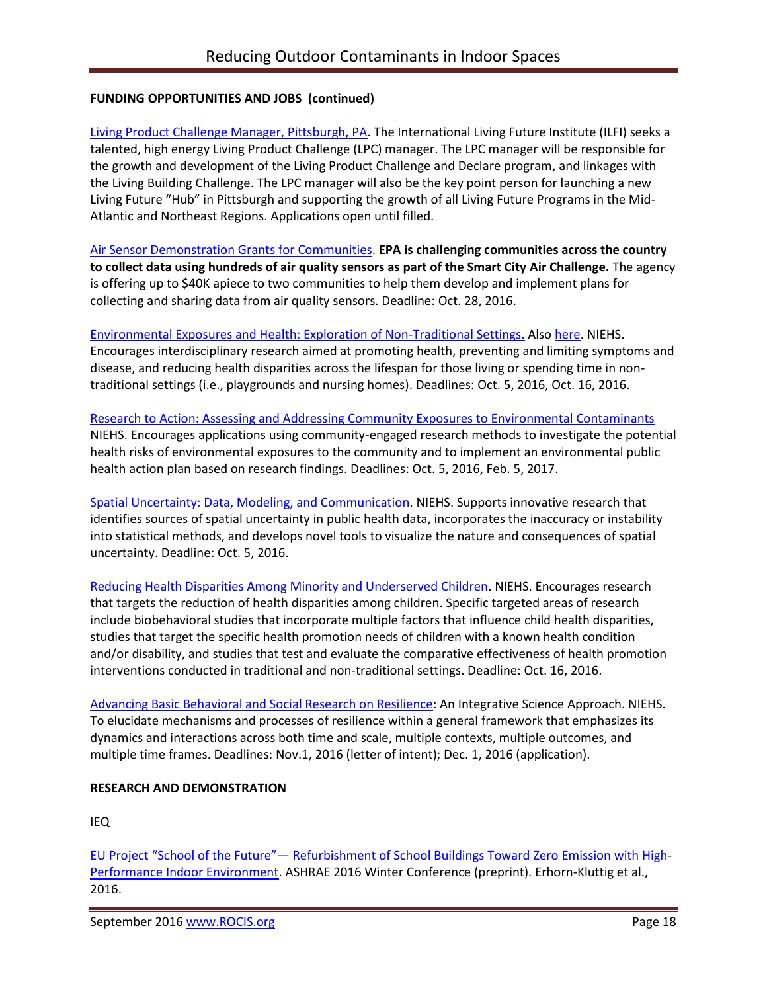## **FUNDING OPPORTUNITIES AND JOBS (continued)**

[Living Product Challenge Manager, Pittsburgh, PA.](https://living-future.org/sites/default/files/16-0829%20ILFI%20Living%20Product%20Challenge%20Manager_0.pdf?utm_source=Master%20List&utm_campaign=ef58434a69-August_23_2016_newsletter&utm_medium=email&utm_term=0_458e074771-ef58434a69-392406941) The International Living Future Institute (ILFI) seeks a talented, high energy Living Product Challenge (LPC) manager. The LPC manager will be responsible for the growth and development of the Living Product Challenge and Declare program, and linkages with the Living Building Challenge. The LPC manager will also be the key point person for launching a new Living Future "Hub" in Pittsburgh and supporting the growth of all Living Future Programs in the Mid-Atlantic and Northeast Regions. Applications open until filled.

Air [Sensor Demonstration Grants for Communities.](https://www.challenge.gov/challenge/smart-city-air-challenge/) **EPA is challenging communities across the country to collect data using hundreds of air quality sensors as part of the Smart City Air Challenge.** The agency is offering up to \$40K apiece to two communities to help them develop and implement plans for collecting and sharing data from air quality sensors. Deadline: Oct. 28, 2016.

[Environmental Exposures and Health: Exploration of Non-Traditional Settings.](http://bit.ly/2bvbBTq) Also [here.](http://bit.ly/2bUN5M1) NIEHS. Encourages interdisciplinary research aimed at promoting health, preventing and limiting symptoms and disease, and reducing health disparities across the lifespan for those living or spending time in nontraditional settings (i.e., playgrounds and nursing homes). Deadlines: Oct. 5, 2016, Oct. 16, 2016.

Research to Action: Assessing and Addressing [Community Exposures to Environmental Contaminants](http://bit.ly/2blVw0J) NIEHS. Encourages applications using community-engaged research methods to investigate the potential health risks of environmental exposures to the community and to implement an environmental public health action plan based on research findings. Deadlines: Oct. 5, 2016, Feb. 5, 2017.

[Spatial Uncertainty: Data, Modeling, and Communication.](http://bit.ly/2bDSqIM) NIEHS. Supports innovative research that identifies sources of spatial uncertainty in public health data, incorporates the inaccuracy or instability into statistical methods, and develops novel tools to visualize the nature and consequences of spatial uncertainty. Deadline: Oct. 5, 2016.

[Reducing Health Disparities Among Minority and Underserved Children.](http://bit.ly/2bMY8aD) NIEHS. Encourages research that targets the reduction of health disparities among children. Specific targeted areas of research include biobehavioral studies that incorporate multiple factors that influence child health disparities, studies that target the specific health promotion needs of children with a known health condition and/or disability, and studies that test and evaluate the comparative effectiveness of health promotion interventions conducted in traditional and non-traditional settings. Deadline: Oct. 16, 2016.

[Advancing Basic Behavioral and Social Research on Resilience:](http://bit.ly/2bUNjCR) An Integrative Science Approach. NIEHS. To elucidate mechanisms and processes of resilience within a general framework that emphasizes its dynamics and interactions across both time and scale, multiple contexts, multiple outcomes, and multiple time frames. Deadlines: Nov.1, 2016 (letter of intent); Dec. 1, 2016 (application).

### **RESEARCH AND DEMONSTRATION**

IEQ

EU Project "School of the Future"— [Refurbishment of School Buildings Toward Zero Emission with High-](http://iea-annex61.org/files/2016_ASHRAE_Winter_Conference/14.pdf)[Performance Indoor Environment.](http://iea-annex61.org/files/2016_ASHRAE_Winter_Conference/14.pdf) ASHRAE 2016 Winter Conference (preprint). Erhorn-Kluttig et al., 2016.